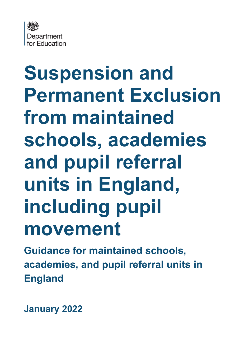

# **Suspension and Permanent Exclusion from maintained schools, academies and pupil referral units in England, including pupil movement**

**Guidance for maintained schools, academies, and pupil referral units in England**

**January 2022**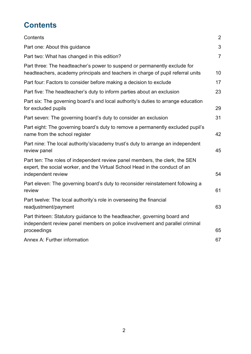# <span id="page-1-0"></span>**Contents**

| Contents                                                                                                                                                                         | $\overline{2}$ |
|----------------------------------------------------------------------------------------------------------------------------------------------------------------------------------|----------------|
| Part one: About this guidance                                                                                                                                                    | 3              |
| Part two: What has changed in this edition?                                                                                                                                      | $\overline{7}$ |
| Part three: The headteacher's power to suspend or permanently exclude for<br>headteachers, academy principals and teachers in charge of pupil referral units                     | 10             |
| Part four: Factors to consider before making a decision to exclude                                                                                                               | 17             |
| Part five: The headteacher's duty to inform parties about an exclusion                                                                                                           | 23             |
| Part six: The governing board's and local authority's duties to arrange education<br>for excluded pupils                                                                         | 29             |
| Part seven: The governing board's duty to consider an exclusion                                                                                                                  | 31             |
| Part eight: The governing board's duty to remove a permanently excluded pupil's<br>name from the school register                                                                 | 42             |
| Part nine: The local authority's/academy trust's duty to arrange an independent<br>review panel                                                                                  | 45             |
| Part ten: The roles of independent review panel members, the clerk, the SEN<br>expert, the social worker, and the Virtual School Head in the conduct of an<br>independent review | 54             |
|                                                                                                                                                                                  |                |
| Part eleven: The governing board's duty to reconsider reinstatement following a<br>review                                                                                        | 61             |
| Part twelve: The local authority's role in overseeing the financial<br>readjustment/payment                                                                                      | 63             |
| Part thirteen: Statutory guidance to the headteacher, governing board and<br>independent review panel members on police involvement and parallel criminal                        |                |
| proceedings                                                                                                                                                                      | 65             |
| <b>Annex A: Further information</b>                                                                                                                                              | 67             |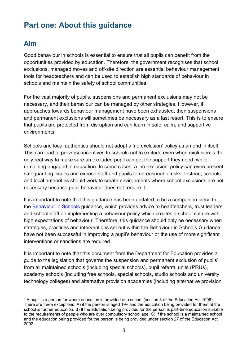# <span id="page-2-0"></span>**Part one: About this guidance**

## **Aim**

Good behaviour in schools is essential to ensure that all pupils can benefit from the opportunities provided by education. Therefore, the government recognises that school exclusions, managed moves and off-site direction are essential behaviour management tools for headteachers and can be used to establish high standards of behaviour in schools and maintain the safety of school communities.

For the vast majority of pupils, suspensions and permanent exclusions may not be necessary, and their behaviour can be managed by other strategies. However, if approaches towards behaviour management have been exhausted, then suspensions and permanent exclusions will sometimes be necessary as a last resort. This is to ensure that pupils are protected from disruption and can learn in safe, calm, and supportive environments.

Schools and local authorities should not adopt a 'no exclusion' policy as an end in itself. This can lead to perverse incentives to schools not to exclude even when exclusion is the only real way to make sure an excluded pupil can get the support they need, while remaining engaged in education. In some cases, a 'no exclusion' policy can even present safeguarding issues and expose staff and pupils to unreasonable risks. Instead, schools and local authorities should work to create environments where school exclusions are not necessary because pupil behaviour does not require it.

It is important to note that this guidance has been updated to be a companion piece to the [Behaviour in Schools](https://www.gov.uk/government/publications/behaviour-and-discipline-in-schools) guidance, which provides advice to headteachers, trust leaders and school staff on implementing a behaviour policy which creates a school culture with high expectations of behaviour. Therefore, this guidance should only be necessary when strategies, practices and interventions set out within the Behaviour in Schools Guidance have not been successful in improving a pupil's behaviour or the use of more significant interventions or sanctions are required.

It is important to note that this document from the Department for Education provides a guide to the legislation that governs the suspension and permanent exclusion of pupils<sup>1</sup> from all maintained schools (including special schools), pupil referral units (PRUs), academy schools (including free schools, special schools, studio schools and university technology colleges) and alternative provision academies (including alternative provision

<sup>1</sup> A pupil is a person for whom education is provided at a school (section 3 of the Education Act 1996). There are three exceptions: A) if the person is aged 19+ and the education being provided for them at the school is further education. B) If the education being provided for the person is part-time education suitable to the requirements of people who are over compulsory school age. C) If the school is a maintained school and the education being provided for the person is being provided under section 27 of the Education Act 2002.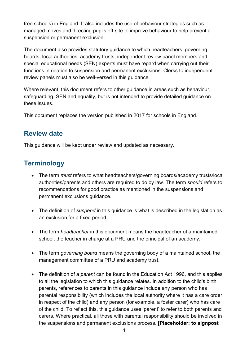free schools) in England. It also includes the use of behaviour strategies such as managed moves and directing pupils off-site to improve behaviour to help prevent a suspension or permanent exclusion.

The document also provides statutory guidance to which headteachers, governing boards, local authorities, academy trusts, independent review panel members and special educational needs (SEN) experts must have regard when carrying out their functions in relation to suspension and permanent exclusions. Clerks to independent review panels must also be well-versed in this guidance.

Where relevant, this document refers to other guidance in areas such as behaviour, safeguarding, SEN and equality, but is not intended to provide detailed guidance on these issues.

This document replaces the version published in 2017 for schools in England.

## **Review date**

This guidance will be kept under review and updated as necessary.

# **Terminology**

- The term *must* refers to what headteachers/governing boards/academy trusts/local authorities/parents and others are required to do by law. The term *should* refers to recommendations for good practice as mentioned in the suspensions and permanent exclusions guidance.
- The definition of *suspend* in this guidance is what is described in the legislation as an exclusion for a fixed period.
- The term *headteacher* in this document means the headteacher of a maintained school, the teacher in charge at a PRU and the principal of an academy.
- The term *governing board* means the governing body of a maintained school, the management committee of a PRU and academy trust.
- The definition of a *parent* can be found in the Education Act 1996, and this applies to all the legislation to which this guidance relates. In addition to the child's birth parents, references to parents in this guidance include any person who has parental responsibility (which includes the local authority where it has a care order in respect of the child) and any person (for example, a foster carer) who has care of the child. To reflect this, this guidance uses 'parent' to refer to both parents and carers. Where practical, all those with parental responsibility should be involved in the suspensions and permanent exclusions process. **[Placeholder: to signpost**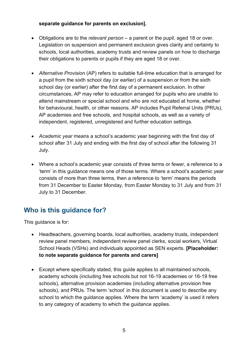#### **separate guidance for parents on exclusion].**

- Obligations are to the *relevant person* a parent or the pupil, aged 18 or over. Legislation on suspension and permanent exclusion gives clarity and certainty to schools, local authorities, academy trusts and review panels on how to discharge their obligations to parents or pupils if they are aged 18 or over.
- *Alternative Provision* (AP) refers to suitable full-time education that is arranged for a pupil from the sixth school day (or earlier) of a suspension or from the sixth school day (or earlier) after the first day of a permanent exclusion. In other circumstances, AP may refer to education arranged for pupils who are unable to attend mainstream or special school and who are not educated at home, whether for behavioural, health, or other reasons. AP includes Pupil Referral Units (PRUs), AP academies and free schools, and hospital schools, as well as a variety of independent, registered, unregistered and further education settings.
- *Academic year* means a school's academic year beginning with the first day of school after 31 July and ending with the first day of school after the following 31 July.
- Where a school's academic year consists of three terms or fewer, a reference to a 'term' in this guidance means one of those terms. Where a school's academic year consists of more than three terms, then a reference to 'term' means the periods from 31 December to Easter Monday, from Easter Monday to 31 July and from 31 July to 31 December.

## **Who is this guidance for?**

This guidance is for:

- Headteachers, governing boards, local authorities, academy trusts, independent review panel members, independent review panel clerks, social workers, Virtual School Heads (VSHs) and individuals appointed as SEN experts. **[Placeholder: to note separate guidance for parents and carers]**
- Except where specifically stated, this guide applies to all maintained schools, academy schools (including free schools but not 16-19 academies or 16-19 free schools), alternative provision academies (including alternative provision free schools), and PRUs. The term 'school' in this document is used to describe any school to which the quidance applies. Where the term 'academy' is used it refers to any category of academy to which the guidance applies.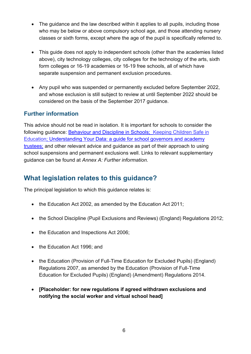- The quidance and the law described within it applies to all pupils, including those who may be below or above compulsory school age, and those attending nursery classes or sixth forms, except where the age of the pupil is specifically referred to.
- This guide does not apply to independent schools (other than the academies listed above), city technology colleges, city colleges for the technology of the arts, sixth form colleges or 16-19 academies or 16-19 free schools, all of which have separate suspension and permanent exclusion procedures.
- Any pupil who was suspended or permanently excluded before September 2022, and whose exclusion is still subject to review at until September 2022 should be considered on the basis of the September 2017 guidance.

#### **Further information**

This advice should not be read in isolation. It is important for schools to consider the following guidance: [Behaviour and Discipline in Schools;](https://www.gov.uk/government/publications/behaviour-and-discipline-in-schools) [Keeping Children Safe in](https://assets.publishing.service.gov.uk/government/uploads/system/uploads/attachment_data/file/1021914/KCSIE_2021_September_guidance.pdf)  [Education;](https://assets.publishing.service.gov.uk/government/uploads/system/uploads/attachment_data/file/1021914/KCSIE_2021_September_guidance.pdf) [Understanding Your Data: a guide for school governors and academy](https://www.gov.uk/government/publications/understanding-your-data-a-guide-for-school-governors-and-academy-trustees/understanding-your-data-a-guide-for-school-governors-and-academy-trustees)  [trustees;](https://www.gov.uk/government/publications/understanding-your-data-a-guide-for-school-governors-and-academy-trustees/understanding-your-data-a-guide-for-school-governors-and-academy-trustees) and other relevant advice and guidance as part of their approach to using school suspensions and permanent exclusions well. Links to relevant supplementary guidance can be found at *Annex A: Further information.*

## **What legislation relates to this guidance?**

The principal legislation to which this guidance relates is:

- the Education Act 2002, as amended by the Education Act 2011;
- the School Discipline (Pupil Exclusions and Reviews) (England) Regulations 2012;
- the Education and Inspections Act 2006:
- the Education Act 1996; and
- the Education (Provision of Full-Time Education for Excluded Pupils) (England) Regulations 2007, as amended by the Education (Provision of Full-Time Education for Excluded Pupils) (England) (Amendment) Regulations 2014.
- **[Placeholder: for new regulations if agreed withdrawn exclusions and notifying the social worker and virtual school head]**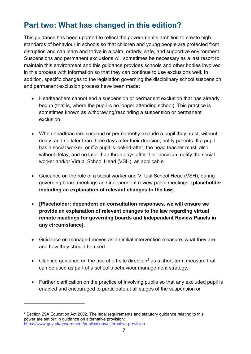# <span id="page-6-0"></span>**Part two: What has changed in this edition?**

This guidance has been updated to reflect the government's ambition to create high standards of behaviour in schools so that children and young people are protected from disruption and can learn and thrive in a calm, orderly, safe, and supportive environment. Suspensions and permanent exclusions will sometimes be necessary as a last resort to maintain this environment and this guidance provides schools and other bodies involved in this process with information so that they can continue to use exclusions well. In addition, specific changes to the legislation governing the disciplinary school suspension and permanent exclusion process have been made:

- Headteachers cannot end a suspension or permanent exclusion that has already begun (that is, where the pupil is no longer attending school). This practice is sometimes known as withdrawing/rescinding a suspension or permanent exclusion.
- When headteachers suspend or permanently exclude a pupil they must, without delay, and no later than three days after their decision, notify parents. If a pupil has a social worker, or if a pupil is looked-after, the head teacher must, also without delay, and no later than three days after their decision, notify the social worker and/or Virtual School Head (VSH), as applicable.
- Guidance on the role of a social worker and Virtual School Head (VSH), during governing board meetings and independent review panel meetings, **[placeholder: including an explanation of relevant changes to the law].**
- **[Placeholder: dependent on consultation responses, we will ensure we provide an explanation of relevant changes to the law regarding virtual remote meetings for governing boards and Independent Review Panels in any circumstance].**
- Guidance on managed moves as an initial intervention measure, what they are and how they should be used.
- Clarified guidance on the use of off-site direction<sup>2</sup> as a short-term measure that can be used as part of a school's behaviour management strategy.
- Further clarification on the practice of involving pupils so that any excluded pupil is enabled and encouraged to participate at all stages of the suspension or

<sup>&</sup>lt;sup>2</sup> Section 29A Education Act 2002. The legal requirements and statutory guidance relating to this power are set out in guidance on alternative provision: <https://www.gov.uk/government/publications/alternative-provision>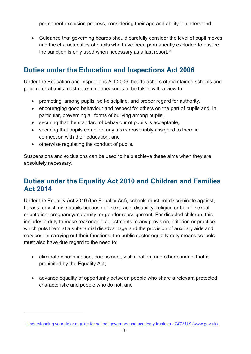permanent exclusion process, considering their age and ability to understand.

• Guidance that governing boards should carefully consider the level of pupil moves and the characteristics of pupils who have been permanently excluded to ensure the sanction is only used when necessary as a last resort.  $^3$ 

## **Duties under the Education and Inspections Act 2006**

Under the Education and Inspections Act 2006, headteachers of maintained schools and pupil referral units must determine measures to be taken with a view to:

- promoting, among pupils, self-discipline, and proper regard for authority,
- encouraging good behaviour and respect for others on the part of pupils and, in particular, preventing all forms of bullying among pupils,
- securing that the standard of behaviour of pupils is acceptable,
- securing that pupils complete any tasks reasonably assigned to them in connection with their education, and
- otherwise regulating the conduct of pupils.

Suspensions and exclusions can be used to help achieve these aims when they are absolutely necessary.

## **Duties under the Equality Act 2010 and Children and Families Act 2014**

Under the Equality Act 2010 (the Equality Act), schools must not discriminate against, harass, or victimise pupils because of: sex; race; disability; religion or belief; sexual orientation; pregnancy/maternity; or gender reassignment. For disabled children, this includes a duty to make reasonable adjustments to any provision, criterion or practice which puts them at a substantial disadvantage and the provision of auxiliary aids and services. In carrying out their functions, the public sector equality duty means schools must also have due regard to the need to:

- eliminate discrimination, harassment, victimisation, and other conduct that is prohibited by the Equality Act;
- advance equality of opportunity between people who share a relevant protected characteristic and people who do not; and

<sup>3</sup> Understanding your data: a guide for school governors and academy trustees - GOV.UK (www.gov.uk)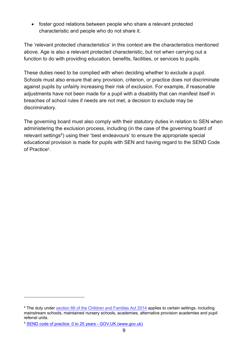• foster good relations between people who share a relevant protected characteristic and people who do not share it.

The 'relevant protected characteristics' in this context are the characteristics mentioned above. Age is also a relevant protected characteristic, but not when carrying out a function to do with providing education, benefits, facilities, or services to pupils.

These duties need to be complied with when deciding whether to exclude a pupil. Schools must also ensure that any provision, criterion, or practice does not discriminate against pupils by unfairly increasing their risk of exclusion. For example, if reasonable adjustments have not been made for a pupil with a disability that can manifest itself in breaches of school rules if needs are not met, a decision to exclude may be discriminatory.

The governing board must also comply with their statutory duties in relation to SEN when administering the exclusion process, including (in the case of the governing board of relevant settings<sup>4</sup>) using their 'best endeavours' to ensure the appropriate special educational provision is made for pupils with SEN and having regard to the SEND Code of Practice<sup>5</sup>.

<sup>4</sup> The duty under [section 66 of the Children and Families Act 2014](https://www.legislation.gov.uk/ukpga/2014/6/section/66/2020-03-25) applies to certain settings, including mainstream schools, maintained nursery schools, academies, alternative provision academies and pupil referral units.

<sup>5</sup> [SEND code of practice: 0 to 25 years -](https://www.gov.uk/government/publications/send-code-of-practice-0-to-25) GOV.UK (www.gov.uk)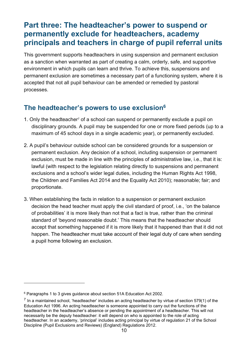# <span id="page-9-0"></span>**Part three: The headteacher's power to suspend or permanently exclude for headteachers, academy principals and teachers in charge of pupil referral units**

This government supports headteachers in using suspension and permanent exclusion as a sanction when warranted as part of creating a calm, orderly, safe, and supportive environment in which pupils can learn and thrive. To achieve this, suspensions and permanent exclusion are sometimes a necessary part of a functioning system, where it is accepted that not all pupil behaviour can be amended or remedied by pastoral processes.

## **The headteacher's powers to use exclusion<sup>6</sup>**

- 1. Only the headteacher<sup>7</sup> of a school can suspend or permanently exclude a pupil on disciplinary grounds. A pupil may be suspended for one or more fixed periods (up to a maximum of 45 school days in a single academic year), or permanently excluded.
- 2. A pupil's behaviour outside school can be considered grounds for a suspension or permanent exclusion. Any decision of a school, including suspension or permanent exclusion, must be made in line with the principles of administrative law, i.e., that it is: lawful (with respect to the legislation relating directly to suspensions and permanent exclusions and a school's wider legal duties, including the Human Rights Act 1998, the Children and Families Act 2014 and the Equality Act 2010); reasonable; fair; and proportionate.
- 3. When establishing the facts in relation to a suspension or permanent exclusion decision the head teacher must apply the civil standard of proof, i.e., 'on the balance of probabilities' it is more likely than not that a fact is true, rather than the criminal standard of 'beyond reasonable doubt.' This means that the headteacher should accept that something happened if it is more likely that it happened than that it did not happen. The headteacher must take account of their legal duty of care when sending a pupil home following an exclusion.

<sup>6</sup> Paragraphs 1 to 3 gives guidance about section 51A Education Act 2002.

 $^7$  In a maintained school, 'headteacher' includes an acting headteacher by virtue of section 579(1) of the Education Act 1996. An acting headteacher is someone appointed to carry out the functions of the headteacher in the headteacher's absence or pending the appointment of a headteacher. This will not necessarily be the deputy headteacher: it will depend on who is appointed to the role of acting headteacher. In an academy, 'principal' includes acting principal by virtue of regulation 21 of the School Discipline (Pupil Exclusions and Reviews) (England) Regulations 2012.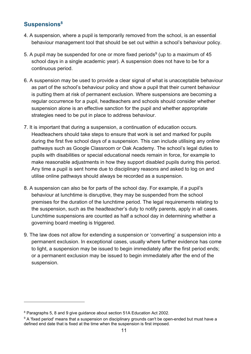## **Suspensions<sup>8</sup>**

- 4. A suspension, where a pupil is temporarily removed from the school, is an essential behaviour management tool that should be set out within a school's behaviour policy.
- 5. A pupil may be suspended for one or more fixed periods $^9$  (up to a maximum of 45  $\,$ school days in a single academic year). A suspension does not have to be for a continuous period.
- 6. A suspension may be used to provide a clear signal of what is unacceptable behaviour as part of the school's behaviour policy and show a pupil that their current behaviour is putting them at risk of permanent exclusion. Where suspensions are becoming a regular occurrence for a pupil, headteachers and schools should consider whether suspension alone is an effective sanction for the pupil and whether appropriate strategies need to be put in place to address behaviour.
- 7. It is important that during a suspension, a continuation of education occurs. Headteachers should take steps to ensure that work is set and marked for pupils during the first five school days of a suspension. This can include utilising any online pathways such as Google Classroom or Oak Academy. The school's legal duties to pupils with disabilities or special educational needs remain in force, for example to make reasonable adjustments in how they support disabled pupils during this period. Any time a pupil is sent home due to disciplinary reasons and asked to log on and utilise online pathways should always be recorded as a suspension.
- 8. A suspension can also be for parts of the school day. For example, if a pupil's behaviour at lunchtime is disruptive, they may be suspended from the school premises for the duration of the lunchtime period. The legal requirements relating to the suspension, such as the headteacher's duty to notify parents, apply in all cases. Lunchtime suspensions are counted as half a school day in determining whether a governing board meeting is triggered.
- 9. The law does not allow for extending a suspension or 'converting' a suspension into a permanent exclusion. In exceptional cases, usually where further evidence has come to light, a suspension may be issued to begin immediately after the first period ends; or a permanent exclusion may be issued to begin immediately after the end of the suspension.

<sup>8</sup> Paragraphs 5, 8 and 9 give guidance about section 51A Education Act 2002.

 $9$  A 'fixed period' means that a suspension on disciplinary grounds can't be open-ended but must have a defined end date that is fixed at the time when the suspension is first imposed.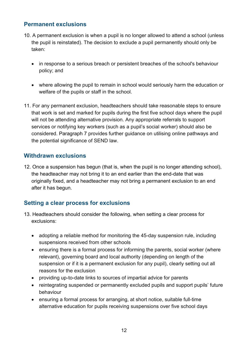#### **Permanent exclusions**

- 10. A permanent exclusion is when a pupil is no longer allowed to attend a school (unless the pupil is reinstated). The decision to exclude a pupil permanently should only be taken:
	- in response to a serious breach or persistent breaches of the school's behaviour policy; and
	- where allowing the pupil to remain in school would seriously harm the education or welfare of the pupils or staff in the school.
- 11. For any permanent exclusion, headteachers should take reasonable steps to ensure that work is set and marked for pupils during the first five school days where the pupil will not be attending alternative provision. Any appropriate referrals to support services or notifying key workers (such as a pupil's social worker) should also be considered. Paragraph 7 provides further guidance on utilising online pathways and the potential significance of SEND law.

#### **Withdrawn exclusions**

12. Once a suspension has begun (that is, when the pupil is no longer attending school), the headteacher may not bring it to an end earlier than the end-date that was originally fixed, and a headteacher may not bring a permanent exclusion to an end after it has begun.

## **Setting a clear process for exclusions**

- 13. Headteachers should consider the following, when setting a clear process for exclusions:
	- adopting a reliable method for monitoring the 45-day suspension rule, including suspensions received from other schools
	- ensuring there is a formal process for informing the parents, social worker (where relevant), governing board and local authority (depending on length of the suspension or if it is a permanent exclusion for any pupil), clearly setting out all reasons for the exclusion
	- providing up-to-date links to sources of impartial advice for parents
	- reintegrating suspended or permanently excluded pupils and support pupils' future behaviour
	- ensuring a formal process for arranging, at short notice, suitable full-time alternative education for pupils receiving suspensions over five school days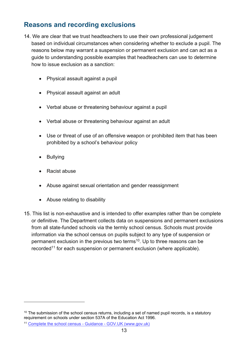## **Reasons and recording exclusions**

- 14. We are clear that we trust headteachers to use their own professional judgement based on individual circumstances when considering whether to exclude a pupil. The reasons below may warrant a suspension or permanent exclusion and can act as a guide to understanding possible examples that headteachers can use to determine how to issue exclusion as a sanction:
	- Physical assault against a pupil
	- Physical assault against an adult
	- Verbal abuse or threatening behaviour against a pupil
	- Verbal abuse or threatening behaviour against an adult
	- Use or threat of use of an offensive weapon or prohibited item that has been prohibited by a school's behaviour policy
	- **Bullying**
	- Racist abuse
	- Abuse against sexual orientation and gender reassignment
	- Abuse relating to disability
- 15. This list is non-exhaustive and is intended to offer examples rather than be complete or definitive. The Department collects data on suspensions and permanent exclusions from all state-funded schools via the termly school census. Schools must provide information via the school census on pupils subject to any type of suspension or permanent exclusion in the previous two terms $^{\rm 10}$ . Up to three reasons can be recorded<sup>11</sup> for each suspension or permanent exclusion (where applicable).

 $10$  The submission of the school census returns, including a set of named pupil records, is a statutory requirement on schools under section 537A of the Education Act 1996.

<sup>11</sup> [Complete the school census -](https://www.gov.uk/guidance/complete-the-school-census) Guidance - GOV.UK (www.gov.uk)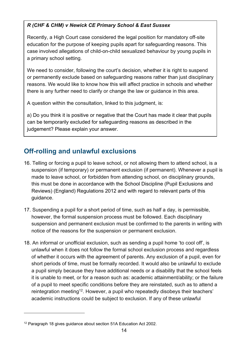#### *R (CHF & CHM) v Newick CE Primary School & East Sussex*

Recently, a High Court case considered the legal position for mandatory off-site education for the purpose of keeping pupils apart for safeguarding reasons. This case involved allegations of child-on-child sexualized behaviour by young pupils in a primary school setting.

We need to consider, following the court's decision, whether it is right to suspend or permanently exclude based on safeguarding reasons rather than just disciplinary reasons. We would like to know how this will affect practice in schools and whether there is any further need to clarify or change the law or guidance in this area.

A question within the consultation, linked to this judgment, is:

a) Do you think it is positive or negative that the Court has made it clear that pupils can be temporarily excluded for safeguarding reasons as described in the judgement? Please explain your answer.

# **Off-rolling and unlawful exclusions**

- 16. Telling or forcing a pupil to leave school, or not allowing them to attend school, is a suspension (if temporary) or permanent exclusion (if permanent). Whenever a pupil is made to leave school, or forbidden from attending school, on disciplinary grounds, this must be done in accordance with the School Discipline (Pupil Exclusions and Reviews) (England) Regulations 2012 and with regard to relevant parts of this guidance.
- 17. Suspending a pupil for a short period of time, such as half a day, is permissible, however, the formal suspension process must be followed. Each disciplinary suspension and permanent exclusion must be confirmed to the parents in writing with notice of the reasons for the suspension or permanent exclusion.
- 18. An informal or unofficial exclusion, such as sending a pupil home 'to cool off', is unlawful when it does not follow the formal school exclusion process and regardless of whether it occurs with the agreement of parents. Any exclusion of a pupil, even for short periods of time, must be formally recorded. It would also be unlawful to exclude a pupil simply because they have additional needs or a disability that the school feels it is unable to meet, or for a reason such as: academic attainment/ability; or the failure of a pupil to meet specific conditions before they are reinstated, such as to attend a reintegration meeting<sup>12</sup>. However, a pupil who repeatedly disobeys their teachers' academic instructions could be subject to exclusion. If any of these unlawful

<sup>&</sup>lt;sup>12</sup> Paragraph 18 gives guidance about section 51A Education Act 2002.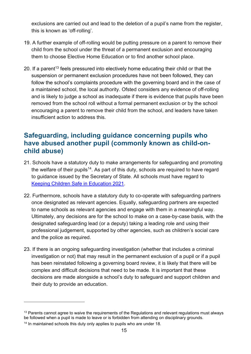exclusions are carried out and lead to the deletion of a pupil's name from the register, this is known as 'off-rolling'.

- 19. A further example of off-rolling would be putting pressure on a parent to remove their child from the school under the threat of a permanent exclusion and encouraging them to choose Elective Home Education or to find another school place.
- 20. If a parent<sup>13</sup> feels pressured into electively home educating their child or that the suspension or permanent exclusion procedures have not been followed, they can follow the school's complaints procedure with the governing board and in the case of a maintained school, the local authority. Ofsted considers any evidence of off-rolling and is likely to judge a school as inadequate if there is evidence that pupils have been removed from the school roll without a formal permanent exclusion or by the school encouraging a parent to remove their child from the school, and leaders have taken insufficient action to address this.

## **Safeguarding, including guidance concerning pupils who have abused another pupil (commonly known as child-onchild abuse)**

- 21. Schools have a statutory duty to make arrangements for safeguarding and promoting the welfare of their pupils<sup>14</sup>. As part of this duty, schools are required to have regard to guidance issued by the Secretary of State. All schools must have regard to [Keeping Children Safe in Education 2021.](https://assets.publishing.service.gov.uk/government/uploads/system/uploads/attachment_data/file/1021914/KCSIE_2021_September_guidance.pdf)
- 22. Furthermore, schools have a statutory duty to co-operate with safeguarding partners once designated as relevant agencies. Equally, safeguarding partners are expected to name schools as relevant agencies and engage with them in a meaningful way. Ultimately, any decisions are for the school to make on a case-by-case basis, with the designated safeguarding lead (or a deputy) taking a leading role and using their professional judgement, supported by other agencies, such as children's social care and the police as required.
- 23. If there is an ongoing safeguarding investigation (whether that includes a criminal investigation or not) that may result in the permanent exclusion of a pupil or if a pupil has been reinstated following a governing board review, it is likely that there will be complex and difficult decisions that need to be made. It is important that these decisions are made alongside a school's duty to safeguard and support children and their duty to provide an education.

<sup>&</sup>lt;sup>13</sup> Parents cannot agree to waive the requirements of the Regulations and relevant regulations must always be followed when a pupil is made to leave or is forbidden from attending on disciplinary grounds.

<sup>&</sup>lt;sup>14</sup> In maintained schools this duty only applies to pupils who are under 18.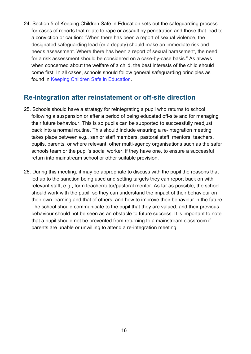24. Section 5 of Keeping Children Safe in Education sets out the safeguarding process for cases of reports that relate to rape or assault by penetration and those that lead to a conviction or caution: "When there has been a report of sexual violence, the designated safeguarding lead (or a deputy) should make an immediate risk and needs assessment. Where there has been a report of sexual harassment, the need for a risk assessment should be considered on a case-by-case basis." As always when concerned about the welfare of a child, the best interests of the child should come first. In all cases, schools should follow general safeguarding principles as found in [Keeping Children Safe in Education.](https://assets.publishing.service.gov.uk/government/uploads/system/uploads/attachment_data/file/1014057/KCSIE_2021_September.pdf)

## **Re-integration after reinstatement or off-site direction**

- 25. Schools should have a strategy for reintegrating a pupil who returns to school following a suspension or after a period of being educated off-site and for managing their future behaviour. This is so pupils can be supported to successfully readjust back into a normal routine. This should include ensuring a re-integration meeting takes place between e.g., senior staff members, pastoral staff, mentors, teachers, pupils, parents, or where relevant, other multi-agency organisations such as the safer schools team or the pupil's social worker, if they have one, to ensure a successful return into mainstream school or other suitable provision.
- 26. During this meeting, it may be appropriate to discuss with the pupil the reasons that led up to the sanction being used and setting targets they can report back on with relevant staff, e.g., form teacher/tutor/pastoral mentor. As far as possible, the school should work with the pupil, so they can understand the impact of their behaviour on their own learning and that of others, and how to improve their behaviour in the future. The school should communicate to the pupil that they are valued, and their previous behaviour should not be seen as an obstacle to future success. It is important to note that a pupil should not be prevented from returning to a mainstream classroom if parents are unable or unwilling to attend a re-integration meeting.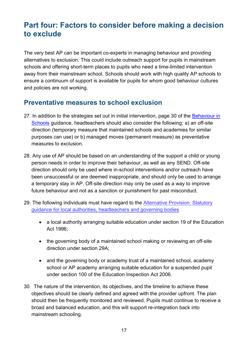# <span id="page-16-0"></span>**Part four: Factors to consider before making a decision to exclude**

The very best AP can be important co-experts in managing behaviour and providing alternatives to exclusion. This could include outreach support for pupils in mainstream schools and offering short-term places to pupils who need a time-limited intervention away from their mainstream school. Schools should work with high quality AP schools to ensure a continuum of support is available for pupils for whom good behaviour cultures and policies are not working.

## **Preventative measures to school exclusion**

- 27. In addition to the strategies set out in initial intervention, page 30 of the Behaviour in [Schools](https://www.gov.uk/government/publications/behaviour-and-discipline-in-schools) guidance, headteachers should also consider the following: a) an off-site direction (temporary measure that maintained schools and academies for similar purposes can use) or b) managed moves (permanent measure) as preventative measures to exclusion.
- 28. Any use of AP should be based on an understanding of the support a child or young person needs in order to improve their behaviour, as well as any SEND. Off-site direction should only be used where in-school interventions and/or outreach have been unsuccessful or are deemed inappropriate, and should only be used to arrange a temporary stay in AP. Off-site direction may only be used as a way to improve future behaviour and not as a sanction or punishment for past misconduct.
- 29. The following individuals must have regard to the **Alternative Provision: Statutory** [guidance for local authorities, headteachers and governing bodies](https://assets.publishing.service.gov.uk/government/uploads/system/uploads/attachment_data/file/942014/alternative_provision_statutory_guidance_accessible.pdf)
	- a local authority arranging suitable education under section 19 of the Education Act 1996;
	- the governing body of a maintained school making or reviewing an off-site direction under section 29A;
	- and the governing body or academy trust of a maintained school, academy school or AP academy arranging suitable education for a suspended pupil under section 100 of the Education Inspection Act 2006.
- 30. The nature of the intervention, its objectives, and the timeline to achieve these objectives should be clearly defined and agreed with the provider upfront. The plan should then be frequently monitored and reviewed. Pupils must continue to receive a broad and balanced education, and this will support re-integration back into mainstream schooling.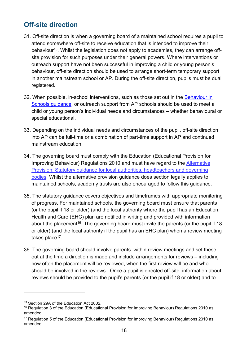## **Off-site direction**

- 31. Off-site direction is when a governing board of a maintained school requires a pupil to attend somewhere off-site to receive education that is intended to improve their behaviour<sup>15</sup>. Whilst the legislation does not apply to academies, they can arrange offsite provision for such purposes under their general powers. Where interventions or outreach support have not been successful in improving a child or young person's behaviour, off-site direction should be used to arrange short-term temporary support in another mainstream school or AP. During the off-site direction, pupils must be dual registered.
- 32. When possible, in-school interventions, such as those set out in the [Behaviour in](https://www.gov.uk/government/publications/behaviour-and-discipline-in-schools)  [Schools](https://www.gov.uk/government/publications/behaviour-and-discipline-in-schools) guidance, or outreach support from AP schools should be used to meet a child or young person's individual needs and circumstances – whether behavioural or special educational.
- 33. Depending on the individual needs and circumstances of the pupil, off-site direction into AP can be full-time or a combination of part-time support in AP and continued mainstream education.
- 34. The governing board must comply with the Education (Educational Provision for Improving Behaviour) Regulations 2010 and must have regard to the [Alternative](https://assets.publishing.service.gov.uk/government/uploads/system/uploads/attachment_data/file/942014/alternative_provision_statutory_guidance_accessible.pdf)  [Provision: Statutory guidance for local authorities, headteachers and governing](https://assets.publishing.service.gov.uk/government/uploads/system/uploads/attachment_data/file/942014/alternative_provision_statutory_guidance_accessible.pdf)  [bodies.](https://assets.publishing.service.gov.uk/government/uploads/system/uploads/attachment_data/file/942014/alternative_provision_statutory_guidance_accessible.pdf) Whilst the alternative provision guidance does section legally applies to maintained schools, academy trusts are also encouraged to follow this guidance.
- 35. The statutory guidance covers objectives and timeframes with appropriate monitoring of progress. For maintained schools, the governing board must ensure that parents (or the pupil if 18 or older) (and the local authority where the pupil has an Education, Health and Care (EHC) plan are notified in writing and provided with information about the placement<sup>16</sup>. The governing board must invite the parents (or the pupil if 18 or older) (and the local authority if the pupil has an EHC plan) when a review meeting takes place<sup>17</sup>.
- 36. The governing board should involve parents within review meetings and set these out at the time a direction is made and include arrangements for reviews – including how often the placement will be reviewed, when the first review will be and who should be involved in the reviews. Once a pupil is directed off-site, information about reviews should be provided to the pupil's parents (or the pupil if 18 or older) and to

<sup>15</sup> Section 29A of the Education Act 2002.

<sup>&</sup>lt;sup>16</sup> Regulation 3 of the Education (Educational Provision for Improving Behaviour) Regulations 2010 as amended.

<sup>&</sup>lt;sup>17</sup> Regulation 5 of the Education (Educational Provision for Improving Behaviour) Regulations 2010 as amended.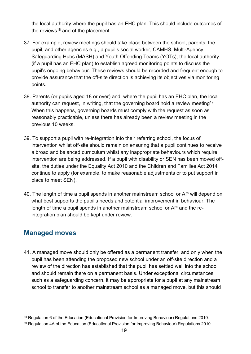the local authority where the pupil has an EHC plan. This should include outcomes of the reviews $18$  and of the placement.

- 37. For example, review meetings should take place between the school, parents, the pupil, and other agencies e.g., a pupil's social worker, CAMHS, Multi-Agency Safeguarding Hubs (MASH) and Youth Offending Teams (YOTs), the local authority (if a pupil has an EHC plan) to establish agreed monitoring points to discuss the pupil's ongoing behaviour. These reviews should be recorded and frequent enough to provide assurance that the off-site direction is achieving its objectives via monitoring points.
- 38. Parents (or pupils aged 18 or over) and, where the pupil has an EHC plan, the local authority can request, in writing, that the governing board hold a review meeting<sup>19</sup> When this happens, governing boards must comply with the request as soon as reasonably practicable, unless there has already been a review meeting in the previous 10 weeks.
- 39. To support a pupil with re-integration into their referring school, the focus of intervention whilst off-site should remain on ensuring that a pupil continues to receive a broad and balanced curriculum whilst any inappropriate behaviours which require intervention are being addressed. If a pupil with disability or SEN has been moved offsite, the duties under the Equality Act 2010 and the Children and Families Act 2014 continue to apply (for example, to make reasonable adjustments or to put support in place to meet SEN).
- 40. The length of time a pupil spends in another mainstream school or AP will depend on what best supports the pupil's needs and potential improvement in behaviour. The length of time a pupil spends in another mainstream school or AP and the reintegration plan should be kept under review.

## **Managed moves**

41. A managed move should only be offered as a permanent transfer, and only when the pupil has been attending the proposed new school under an off-site direction and a review of the direction has established that the pupil has settled well into the school and should remain there on a permanent basis. Under exceptional circumstances, such as a safeguarding concern, it may be appropriate for a pupil at any mainstream school to transfer to another mainstream school as a managed move, but this should

<sup>&</sup>lt;sup>18</sup> Regulation 6 of the Education (Educational Provision for Improving Behaviour) Regulations 2010.

<sup>&</sup>lt;sup>19</sup> Regulation 4A of the Education (Educational Provision for Improving Behaviour) Regulations 2010.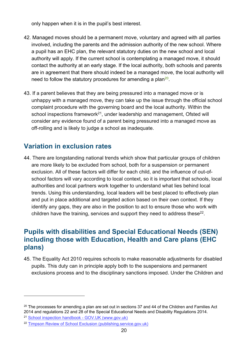only happen when it is in the pupil's best interest.

- 42. Managed moves should be a permanent move, voluntary and agreed with all parties involved, including the parents and the admission authority of the new school. Where a pupil has an EHC plan, the relevant statutory duties on the new school and local authority will apply. If the current school is contemplating a managed move, it should contact the authority at an early stage. If the local authority, both schools and parents are in agreement that there should indeed be a managed move, the local authority will need to follow the statutory procedures for amending a plan<sup>20</sup>.
- 43. If a parent believes that they are being pressured into a managed move or is unhappy with a managed move, they can take up the issue through the official school complaint procedure with the governing board and the local authority. Within the school inspections framework<sup>21</sup>, under leadership and management, Ofsted will consider any evidence found of a parent being pressured into a managed move as off-rolling and is likely to judge a school as inadequate.

## **Variation in exclusion rates**

44. There are longstanding national trends which show that particular groups of children are more likely to be excluded from school, both for a suspension or permanent exclusion. All of these factors will differ for each child, and the influence of out-ofschool factors will vary according to local context, so it is important that schools, local authorities and local partners work together to understand what lies behind local trends. Using this understanding, local leaders will be best placed to effectively plan and put in place additional and targeted action based on their own context. If they identify any gaps, they are also in the position to act to ensure those who work with children have the training, services and support they need to address these $^\mathrm{22}.$ 

## **Pupils with disabilities and Special Educational Needs (SEN) including those with Education, Health and Care plans (EHC plans)**

45. The Equality Act 2010 requires schools to make reasonable adjustments for disabled pupils. This duty can in principle apply both to the suspensions and permanent exclusions process and to the disciplinary sanctions imposed. Under the Children and

 $20$  The processes for amending a plan are set out in sections 37 and 44 of the Children and Families Act 2014 and regulations 22 and 28 of the Special Educational Needs and Disability Regulations 2014.

<sup>21</sup> [School inspection handbook -](https://www.gov.uk/government/publications/school-inspection-handbook-eif/school-inspection-handbook) GOV.UK (www.gov.uk)

<sup>22</sup> [Timpson Review of School Exclusion \(publishing.service.gov.uk\)](https://assets.publishing.service.gov.uk/government/uploads/system/uploads/attachment_data/file/807862/Timpson_review.pdf)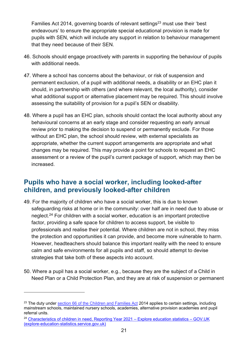Families Act 2014, governing boards of relevant settings $^{23}$  must use their 'best endeavours' to ensure the appropriate special educational provision is made for pupils with SEN, which will include any support in relation to behaviour management that they need because of their SEN.

- 46. Schools should engage proactively with parents in supporting the behaviour of pupils with additional needs.
- 47. Where a school has concerns about the behaviour, or risk of suspension and permanent exclusion, of a pupil with additional needs, a disability or an EHC plan it should, in partnership with others (and where relevant, the local authority), consider what additional support or alternative placement may be required. This should involve assessing the suitability of provision for a pupil's SEN or disability.
- 48. Where a pupil has an EHC plan, schools should contact the local authority about any behavioural concerns at an early stage and consider requesting an early annual review prior to making the decision to suspend or permanently exclude. For those without an EHC plan, the school should review, with external specialists as appropriate, whether the current support arrangements are appropriate and what changes may be required. This may provide a point for schools to request an EHC assessment or a review of the pupil's current package of support, which may then be increased.

## **Pupils who have a social worker, including looked-after children, and previously looked-after children**

- 49. For the majority of children who have a social worker, this is due to known safeguarding risks at home or in the community: over half are in need due to abuse or neglect.<sup>24</sup> For children with a social worker, education is an important protective factor, providing a safe space for children to access support, be visible to professionals and realise their potential. Where children are not in school, they miss the protection and opportunities it can provide, and become more vulnerable to harm. However, headteachers should balance this important reality with the need to ensure calm and safe environments for all pupils and staff, so should attempt to devise strategies that take both of these aspects into account.
- 50. Where a pupil has a social worker, e.g., because they are the subject of a Child in Need Plan or a Child Protection Plan, and they are at risk of suspension or permanent

 $^{23}$  The duty under [section 66 of the Children and Families Act](https://www.legislation.gov.uk/ukpga/2014/6/section/66/2020-03-25) 2014 applies to certain settings, including mainstream schools, maintained nursery schools, academies, alternative provision academies and pupil referral units.

<sup>&</sup>lt;sup>24</sup> [Characteristics of children in need, Reporting Year 2021 –](https://explore-education-statistics.service.gov.uk/find-statistics/characteristics-of-children-in-need) Explore education statistics – GOV.UK [\(explore-education-statistics.service.gov.uk\)](https://explore-education-statistics.service.gov.uk/find-statistics/characteristics-of-children-in-need)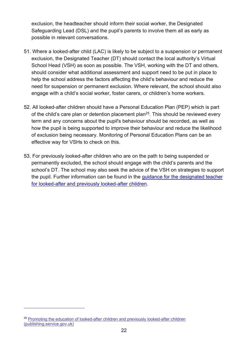exclusion, the headteacher should inform their social worker, the Designated Safeguarding Lead (DSL) and the pupil's parents to involve them all as early as possible in relevant conversations.

- 51. Where a looked-after child (LAC) is likely to be subject to a suspension or permanent exclusion, the Designated Teacher (DT) should contact the local authority's Virtual School Head (VSH) as soon as possible. The VSH, working with the DT and others, should consider what additional assessment and support need to be put in place to help the school address the factors affecting the child's behaviour and reduce the need for suspension or permanent exclusion. Where relevant, the school should also engage with a child's social worker, foster carers, or children's home workers.
- 52. All looked-after children should have a Personal Education Plan (PEP) which is part of the child's care plan or detention placement plan<sup>25</sup>. This should be reviewed every term and any concerns about the pupil's behaviour should be recorded, as well as how the pupil is being supported to improve their behaviour and reduce the likelihood of exclusion being necessary. Monitoring of Personal Education Plans can be an effective way for VSHs to check on this.
- 53. For previously looked-after children who are on the path to being suspended or permanently excluded, the school should engage with the child's parents and the school's DT. The school may also seek the advice of the VSH on strategies to support the pupil. Further information can be found in the [guidance for the designated teacher](https://assets.publishing.service.gov.uk/government/uploads/system/uploads/attachment_data/file/683561/The_designated_teacher_for_looked-after_and_previously_looked-after_children.pdf)  [for looked-after and previously looked-after children.](https://assets.publishing.service.gov.uk/government/uploads/system/uploads/attachment_data/file/683561/The_designated_teacher_for_looked-after_and_previously_looked-after_children.pdf)

<sup>&</sup>lt;sup>25</sup> Promoting the education of looked-after children and previously looked-after children [\(publishing.service.gov.uk\)](https://assets.publishing.service.gov.uk/government/uploads/system/uploads/attachment_data/file/683556/Promoting_the_education_of_looked-after_children_and_previously_looked-after_children.pdf)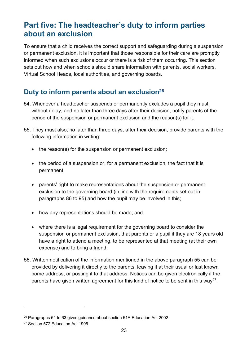# <span id="page-22-0"></span>**Part five: The headteacher's duty to inform parties about an exclusion**

To ensure that a child receives the correct support and safeguarding during a suspension or permanent exclusion, it is important that those responsible for their care are promptly informed when such exclusions occur or there is a risk of them occurring. This section sets out how and when schools should share information with parents, social workers, Virtual School Heads, local authorities, and governing boards.

## **Duty to inform parents about an exclusion<sup>26</sup>**

- 54. Whenever a headteacher suspends or permanently excludes a pupil they must, without delay, and no later than three days after their decision, notify parents of the period of the suspension or permanent exclusion and the reason(s) for it.
- 55. They must also, no later than three days, after their decision, provide parents with the following information in writing:
	- the reason(s) for the suspension or permanent exclusion;
	- the period of a suspension or, for a permanent exclusion, the fact that it is permanent;
	- parents' right to make representations about the suspension or permanent exclusion to the governing board (in line with the requirements set out in paragraphs 86 to 95) and how the pupil may be involved in this;
	- how any representations should be made; and
	- where there is a legal requirement for the governing board to consider the suspension or permanent exclusion, that parents or a pupil if they are 18 years old have a right to attend a meeting, to be represented at that meeting (at their own expense) and to bring a friend.
- 56. Written notification of the information mentioned in the above paragraph 55 can be provided by delivering it directly to the parents, leaving it at their usual or last known home address, or posting it to that address. Notices can be given electronically if the parents have given written agreement for this kind of notice to be sent in this way<sup>27</sup>.

 $26$  Paragraphs 54 to 63 gives guidance about section 51A Education Act 2002.

<sup>&</sup>lt;sup>27</sup> Section 572 Education Act 1996.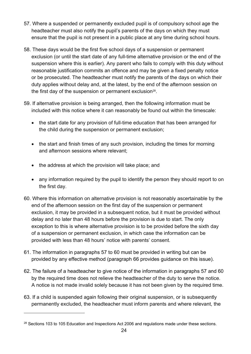- 57. Where a suspended or permanently excluded pupil is of compulsory school age the headteacher must also notify the pupil's parents of the days on which they must ensure that the pupil is not present in a public place at any time during school hours.
- 58. These days would be the first five school days of a suspension or permanent exclusion (or until the start date of any full-time alternative provision or the end of the suspension where this is earlier). Any parent who fails to comply with this duty without reasonable justification commits an offence and may be given a fixed penalty notice or be prosecuted. The headteacher must notify the parents of the days on which their duty applies without delay and, at the latest, by the end of the afternoon session on the first day of the suspension or permanent exclusion $^{\rm 28}.$
- 59. If alternative provision is being arranged, then the following information must be included with this notice where it can reasonably be found out within the timescale:
	- the start date for any provision of full-time education that has been arranged for the child during the suspension or permanent exclusion;
	- the start and finish times of any such provision, including the times for morning and afternoon sessions where relevant;
	- the address at which the provision will take place; and
	- any information required by the pupil to identify the person they should report to on the first day.
- 60. Where this information on alternative provision is not reasonably ascertainable by the end of the afternoon session on the first day of the suspension or permanent exclusion, it may be provided in a subsequent notice, but it must be provided without delay and no later than 48 hours before the provision is due to start. The only exception to this is where alternative provision is to be provided before the sixth day of a suspension or permanent exclusion, in which case the information can be provided with less than 48 hours' notice with parents' consent.
- 61. The information in paragraphs 57 to 60 must be provided in writing but can be provided by any effective method (paragraph 66 provides guidance on this issue).
- 62. The failure of a headteacher to give notice of the information in paragraphs 57 and 60 by the required time does not relieve the headteacher of the duty to serve the notice. A notice is not made invalid solely because it has not been given by the required time.
- 63. If a child is suspended again following their original suspension, or is subsequently permanently excluded, the headteacher must inform parents and where relevant, the

<sup>&</sup>lt;sup>28</sup> Sections 103 to 105 Education and Inspections Act 2006 and regulations made under these sections.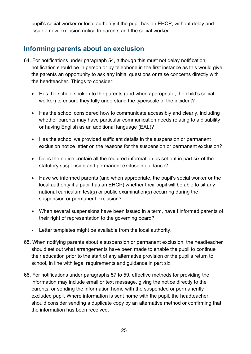pupil's social worker or local authority if the pupil has an EHCP, without delay and issue a new exclusion notice to parents and the social worker.

## **Informing parents about an exclusion**

- 64. For notifications under paragraph 54, although this must not delay notification, notification should be in person or by telephone in the first instance as this would give the parents an opportunity to ask any initial questions or raise concerns directly with the headteacher. Things to consider:
	- Has the school spoken to the parents (and when appropriate, the child's social worker) to ensure they fully understand the type/scale of the incident?
	- Has the school considered how to communicate accessibly and clearly, including whether parents may have particular communication needs relating to a disability or having English as an additional language (EAL)?
	- Has the school we provided sufficient details in the suspension or permanent exclusion notice letter on the reasons for the suspension or permanent exclusion?
	- Does the notice contain all the required information as set out in part six of the statutory suspension and permanent exclusion guidance?
	- Have we informed parents (and when appropriate, the pupil's social worker or the local authority if a pupil has an EHCP) whether their pupil will be able to sit any national curriculum test(s) or public examination(s) occurring during the suspension or permanent exclusion?
	- When several suspensions have been issued in a term, have I informed parents of their right of representation to the governing board?
	- Letter templates might be available from the local authority.
- 65. When notifying parents about a suspension or permanent exclusion, the headteacher should set out what arrangements have been made to enable the pupil to continue their education prior to the start of any alternative provision or the pupil's return to school, in line with legal requirements and guidance in part six.
- 66. For notifications under paragraphs 57 to 59, effective methods for providing the information may include email or text message, giving the notice directly to the parents, or sending the information home with the suspended or permanently excluded pupil. Where information is sent home with the pupil, the headteacher should consider sending a duplicate copy by an alternative method or confirming that the information has been received.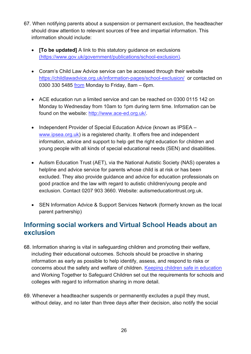- 67. When notifying parents about a suspension or permanent exclusion, the headteacher should draw attention to relevant sources of free and impartial information. This information should include:
	- **[To be updated]** A link to this statutory guidance on exclusions [\(https://www.gov.uk/government/publications/school-exclusion\)](https://www.gov.uk/government/publications/school-exclusion).
	- Coram's Child Law Advice service can be accessed through their website <https://childlawadvice.org.uk/information-pages/school-exclusion/>or contacted on 0300 330 5485 [from](http://from/) Monday to Friday, 8am – 6pm.
	- ACE education run a limited service and can be reached on 0300 0115 142 on Monday to Wednesday from 10am to 1pm during term time. Information can be found on the website: [http://www.ace-ed.org.uk/.](http://www.ace-ed.org.uk/)
	- Independent Provider of Special Education Advice (known as IPSEA [www.ipsea.org.uk\)](http://www.ipsea.org.uk/) is a registered charity. It offers free and independent [information, advice and support](https://www.ipsea.org.uk/about/services) to help get the right education for children and young people with all kinds of special educational needs (SEN) and disabilities.
	- Autism Education Trust (AET), via the National Autistic Society (NAS) operates a helpline and advice service for parents whose child is at risk or has been excluded. They also provide guidance and advice for education professionals on good practice and the law with regard to autistic children/young people and exclusion. Contact 0207 903 3660. Website: autismeducationtrust.org.uk.
	- SEN Information Advice & Support Services Network (formerly known as the local parent partnership)

## **Informing social workers and Virtual School Heads about an exclusion**

- 68. Information sharing is vital in safeguarding children and promoting their welfare, including their educational outcomes. Schools should be proactive in sharing information as early as possible to help identify, assess, and respond to risks or concerns about the safety and welfare of children. [Keeping children safe in education](https://assets.publishing.service.gov.uk/government/uploads/system/uploads/attachment_data/file/1014057/KCSIE_2021_September.pdf) and Working Together to Safeguard Children set out the requirements for schools and colleges with regard to information sharing in more detail.
- 69. Whenever a headteacher suspends or permanently excludes a pupil they must, without delay, and no later than three days after their decision, also notify the social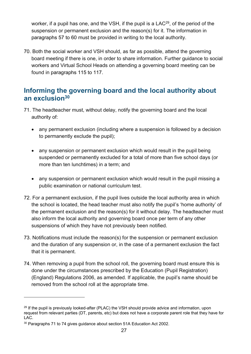worker, if a pupil has one, and the VSH, if the pupil is a LAC $^\mathrm{29}$ , of the period of the suspension or permanent exclusion and the reason(s) for it. The information in paragraphs 57 to 60 must be provided in writing to the local authority.

70. Both the social worker and VSH should, as far as possible, attend the governing board meeting if there is one, in order to share information. Further guidance to social workers and Virtual School Heads on attending a governing board meeting can be found in paragraphs 115 to 117.

## **Informing the governing board and the local authority about an exclusion<sup>30</sup>**

- 71. The headteacher must, without delay, notify the governing board and the local authority of:
	- any permanent exclusion (including where a suspension is followed by a decision to permanently exclude the pupil);
	- any suspension or permanent exclusion which would result in the pupil being suspended or permanently excluded for a total of more than five school days (or more than ten lunchtimes) in a term; and
	- any suspension or permanent exclusion which would result in the pupil missing a public examination or national curriculum test.
- 72. For a permanent exclusion, if the pupil lives outside the local authority area in which the school is located, the head teacher must also notify the pupil's 'home authority' of the permanent exclusion and the reason(s) for it without delay. The headteacher must also inform the local authority and governing board once per term of any other suspensions of which they have not previously been notified.
- 73. Notifications must include the reason(s) for the suspension or permanent exclusion and the duration of any suspension or, in the case of a permanent exclusion the fact that it is permanent.
- 74. When removing a pupil from the school roll, the governing board must ensure this is done under the circumstances prescribed by the Education (Pupil Registration) (England) Regulations 2006, as amended. If applicable, the pupil's name should be removed from the school roll at the appropriate time.

<sup>&</sup>lt;sup>29</sup> If the pupil is previously looked-after (PLAC) the VSH should provide advice and information, upon request from relevant parties (DT, parents, etc) but does not have a corporate parent role that they have for LAC.

<sup>&</sup>lt;sup>30</sup> Paragraphs 71 to 74 gives guidance about section 51A Education Act 2002.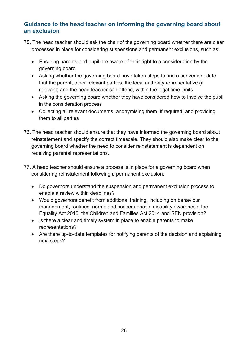#### **Guidance to the head teacher on informing the governing board about an exclusion**

- 75. The head teacher should ask the chair of the governing board whether there are clear processes in place for considering suspensions and permanent exclusions, such as:
	- Ensuring parents and pupil are aware of their right to a consideration by the governing board
	- Asking whether the governing board have taken steps to find a convenient date that the parent, other relevant parties, the local authority representative (if relevant) and the head teacher can attend, within the legal time limits
	- Asking the governing board whether they have considered how to involve the pupil in the consideration process
	- Collecting all relevant documents, anonymising them, if required, and providing them to all parties
- 76. The head teacher should ensure that they have informed the governing board about reinstatement and specify the correct timescale. They should also make clear to the governing board whether the need to consider reinstatement is dependent on receiving parental representations.
- 77. A head teacher should ensure a process is in place for a governing board when considering reinstatement following a permanent exclusion:
	- Do governors understand the suspension and permanent exclusion process to enable a review within deadlines?
	- Would governors benefit from additional training, including on behaviour management, routines, norms and consequences, disability awareness, the Equality Act 2010, the Children and Families Act 2014 and SEN provision?
	- Is there a clear and timely system in place to enable parents to make representations?
	- Are there up-to-date templates for notifying parents of the decision and explaining next steps?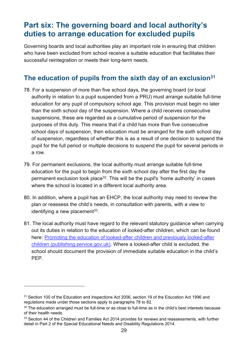# <span id="page-28-0"></span>**Part six: The governing board and local authority's duties to arrange education for excluded pupils**

Governing boards and local authorities play an important role in ensuring that children who have been excluded from school receive a suitable education that facilitates their successful reintegration or meets their long-term needs.

## **The education of pupils from the sixth day of an exclusion<sup>31</sup>**

- 78. For a suspension of more than five school days, the governing board (or local authority in relation to a pupil suspended from a PRU) must arrange suitable full-time education for any pupil of compulsory school age. This provision must begin no later than the sixth school day of the suspension. Where a child receives consecutive suspensions, these are regarded as a cumulative period of suspension for the purposes of this duty. This means that if a child has more than five consecutive school days of suspension, then education must be arranged for the sixth school day of suspension, regardless of whether this is as a result of one decision to suspend the pupil for the full period or multiple decisions to suspend the pupil for several periods in a row.
- 79. For permanent exclusions, the local authority must arrange suitable full-time education for the pupil to begin from the sixth school day after the first day the permanent exclusion took place $32$ . This will be the pupil's 'home authority' in cases where the school is located in a different local authority area.
- 80. In addition, where a pupil has an EHCP, the local authority may need to review the plan or reassess the child's needs, in consultation with parents, with a view to identifying a new placement $^{\rm 33}$ .
- 81. The local authority must have regard to the relevant statutory guidance when carrying out its duties in relation to the education of looked-after children, which can be found here: [Promoting the education of looked-after children and previously looked-after](https://assets.publishing.service.gov.uk/government/uploads/system/uploads/attachment_data/file/683556/Promoting_the_education_of_looked-after_children_and_previously_looked-after_children.pdf)  [children \(publishing.service.gov.uk\).](https://assets.publishing.service.gov.uk/government/uploads/system/uploads/attachment_data/file/683556/Promoting_the_education_of_looked-after_children_and_previously_looked-after_children.pdf) Where a looked-after child is excluded, the school should document the provision of immediate suitable education in the child's PEP.

<sup>&</sup>lt;sup>31</sup> Section 100 of the Education and Inspections Act 2006, section 19 of the Education Act 1996 and regulations made under those sections apply to paragraphs 78 to 82.

 $32$  The education arranged must be full-time or as close to full-time as in the child's best interests because of their health needs.

<sup>&</sup>lt;sup>33</sup> Section 44 of the Children and Families Act 2014 provides for reviews and reassessments, with further detail in Part 2 of the Special Educational Needs and Disability Regulations 2014.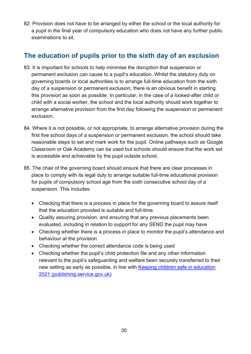82. Provision does not have to be arranged by either the school or the local authority for a pupil in the final year of compulsory education who does not have any further public examinations to sit.

## **The education of pupils prior to the sixth day of an exclusion**

- 83. It is important for schools to help minimise the disruption that suspension or permanent exclusion can cause to a pupil's education. Whilst the statutory duty on governing boards or local authorities is to arrange full-time education from the sixth day of a suspension or permanent exclusion, there is an obvious benefit in starting this provision as soon as possible. In particular, in the case of a looked-after child or child with a social worker, the school and the local authority should work together to arrange alternative provision from the first day following the suspension or permanent exclusion.
- 84. Where it is not possible, or not appropriate, to arrange alternative provision during the first five school days of a suspension or permanent exclusion, the school should take reasonable steps to set and mark work for the pupil. Online pathways such as Google Classroom or Oak Academy can be used but schools should ensure that the work set is accessible and achievable by the pupil outside school,
- 85. The chair of the governing board should ensure that there are clear processes in place to comply with its legal duty to arrange suitable full-time educational provision for pupils of compulsory school age from the sixth consecutive school day of a suspension. This includes:
	- Checking that there is a process in place for the governing board to assure itself that the education provided is suitable and full-time
	- Quality assuring provision, and ensuring that any previous placements been evaluated, including in relation to support for any SEND the pupil may have
	- Checking whether there is a process in place to monitor the pupil's attendance and behaviour at the provision
	- Checking whether the correct attendance code is being used
	- Checking whether the pupil's child protection file and any other information relevant to the pupil's safeguarding and welfare been securely transferred to their new setting as early as possible, in line with [Keeping children safe in education](https://assets.publishing.service.gov.uk/government/uploads/system/uploads/attachment_data/file/1021914/KCSIE_2021_September_guidance.pdf)  [2021 \(publishing.service.gov.uk\)](https://assets.publishing.service.gov.uk/government/uploads/system/uploads/attachment_data/file/1021914/KCSIE_2021_September_guidance.pdf)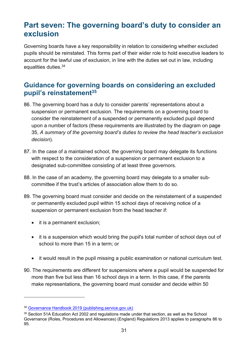# <span id="page-30-0"></span>**Part seven: The governing board's duty to consider an exclusion**

Governing boards have a key responsibility in relation to considering whether excluded pupils should be reinstated. This forms part of their wider role to hold executive leaders to account for the lawful use of exclusion, in line with the duties set out in law, including equalities duties.<sup>34</sup>

## **Guidance for governing boards on considering an excluded pupil's reinstatement<sup>35</sup>**

- 86. The governing board has a duty to consider parents' representations about a suspension or permanent exclusion. The requirements on a governing board to consider the reinstatement of a suspended or permanently excluded pupil depend upon a number of factors (these requirements are illustrated by the diagram on page 35, *A summary of the governing board's duties to review the head teacher's exclusion decision*).
- 87. In the case of a maintained school, the governing board may delegate its functions with respect to the consideration of a suspension or permanent exclusion to a designated sub-committee consisting of at least three governors.
- 88. In the case of an academy, the governing board may delegate to a smaller subcommittee if the trust's articles of association allow them to do so.
- 89. The governing board must consider and decide on the reinstatement of a suspended or permanently excluded pupil within 15 school days of receiving notice of a suspension or permanent exclusion from the head teacher if:
	- it is a permanent exclusion;
	- it is a suspension which would bring the pupil's total number of school days out of school to more than 15 in a term; or
	- it would result in the pupil missing a public examination or national curriculum test.
- 90. The requirements are different for suspensions where a pupil would be suspended for more than five but less than 16 school days in a term. In this case, if the parents make representations, the governing board must consider and decide within 50

<sup>34</sup> [Governance Handbook 2019 \(publishing.service.gov.uk\)](https://assets.publishing.service.gov.uk/government/uploads/system/uploads/attachment_data/file/925104/Governance_Handbook_FINAL.pdf)

<sup>&</sup>lt;sup>35</sup> Section 51A Education Act 2002 and regulations made under that section, as well as the School Governance (Roles, Procedures and Allowances) (England) Regulations 2013 applies to paragraphs 86 to 95.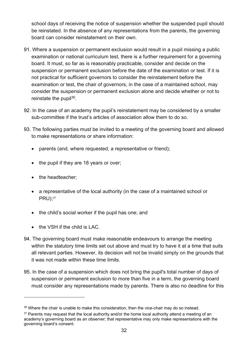school days of receiving the notice of suspension whether the suspended pupil should be reinstated. In the absence of any representations from the parents, the governing board can consider reinstatement on their own.

- 91. Where a suspension or permanent exclusion would result in a pupil missing a public examination or national curriculum test, there is a further requirement for a governing board. It must, so far as is reasonably practicable, consider and decide on the suspension or permanent exclusion before the date of the examination or test. If it is not practical for sufficient governors to consider the reinstatement before the examination or test, the chair of governors, in the case of a maintained school, may consider the suspension or permanent exclusion alone and decide whether or not to reinstate the pupil<sup>36</sup>.
- 92. In the case of an academy the pupil's reinstatement may be considered by a smaller sub-committee if the trust's articles of association allow them to do so.
- 93. The following parties must be invited to a meeting of the governing board and allowed to make representations or share information:
	- parents (and, where requested, a representative or friend);
	- the pupil if they are 18 years or over;
	- the headteacher;
	- a representative of the local authority (in the case of a maintained school or PRU); 37
	- the child's social worker if the pupil has one; and
	- the VSH if the child is LAC.
- 94. The governing board must make reasonable endeavours to arrange the meeting within the statutory time limits set out above and must try to have it at a time that suits all relevant parties. However, its decision will not be invalid simply on the grounds that it was not made within these time limits.
- 95. In the case of a suspension which does not bring the pupil's total number of days of suspension or permanent exclusion to more than five in a term, the governing board must consider any representations made by parents. There is also no deadline for this

<sup>&</sup>lt;sup>36</sup> Where the chair is unable to make this consideration, then the vice-chair may do so instead.

<sup>&</sup>lt;sup>37</sup> Parents may request that the local authority and/or the home local authority attend a meeting of an academy's governing board as an observer; that representative may only make representations with the governing board's consent.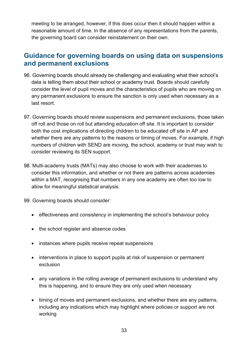meeting to be arranged, however, if this does occur then it should happen within a reasonable amount of time. In the absence of any representations from the parents, the governing board can consider reinstatement on their own.

## **Guidance for governing boards on using data on suspensions and permanent exclusions**

- 96. Governing boards should already be challenging and evaluating what their school's data is telling them about their school or academy trust. Boards should carefully consider the level of pupil moves and the characteristics of pupils who are moving on any permanent exclusions to ensure the sanction is only used when necessary as a last resort.
- 97. Governing boards should review suspensions and permanent exclusions, those taken off roll and those on roll but attending education off site. It is important to consider both the cost implications of directing children to be educated off site in AP and whether there are any patterns to the reasons or timing of moves. For example, if high numbers of children with SEND are moving, the school, academy or trust may wish to consider reviewing its SEN support.
- 98. Multi-academy trusts (MATs) may also choose to work with their academies to consider this information, and whether or not there are patterns across academies within a MAT, recognising that numbers in any one academy are often too low to allow for meaningful statistical analysis.

99. Governing boards should consider:

- effectiveness and consistency in implementing the school's behaviour policy
- the school register and absence codes
- instances where pupils receive repeat suspensions
- interventions in place to support pupils at risk of suspension or permanent exclusion
- any variations in the rolling average of permanent exclusions to understand why this is happening, and to ensure they are only used when necessary
- timing of moves and permanent exclusions, and whether there are any patterns, including any indications which may highlight where policies or support are not working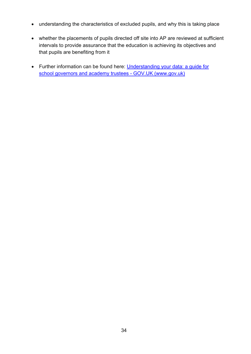- understanding the characteristics of excluded pupils, and why this is taking place
- whether the placements of pupils directed off site into AP are reviewed at sufficient intervals to provide assurance that the education is achieving its objectives and that pupils are benefiting from it
- Further information can be found here: Understanding your data: a guide for [school governors and academy trustees -](https://www.gov.uk/government/publications/understanding-your-data-a-guide-for-school-governors-and-academy-trustees/understanding-your-data-a-guide-for-school-governors-and-academy-trustees) GOV.UK (www.gov.uk)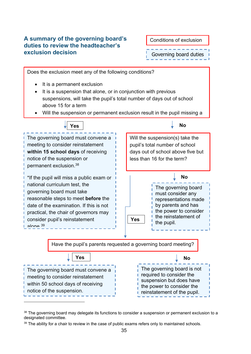#### <span id="page-34-0"></span>**A summary of the governing board's duties to review the headteacher's exclusion decision**

Conditions of exclusion Governing board duties



<sup>&</sup>lt;sup>38</sup> The governing board may delegate its functions to consider a suspension or permanent exclusion to a designated committee.

<sup>&</sup>lt;sup>39</sup> The ability for a chair to review in the case of public exams refers only to maintained schools.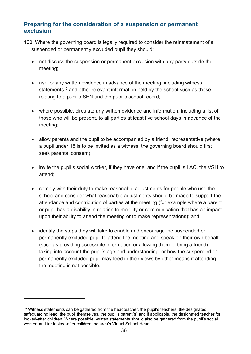#### **Preparing for the consideration of a suspension or permanent exclusion**

- 100. Where the governing board is legally required to consider the reinstatement of a suspended or permanently excluded pupil they should:
	- not discuss the suspension or permanent exclusion with any party outside the meeting;
	- ask for any written evidence in advance of the meeting, including witness statements<sup>40</sup> and other relevant information held by the school such as those relating to a pupil's SEN and the pupil's school record;
	- where possible, circulate any written evidence and information, including a list of those who will be present, to all parties at least five school days in advance of the meeting;
	- allow parents and the pupil to be accompanied by a friend, representative (where a pupil under 18 is to be invited as a witness, the governing board should first seek parental consent);
	- invite the pupil's social worker, if they have one, and if the pupil is LAC, the VSH to attend;
	- comply with their duty to make reasonable adjustments for people who use the school and consider what reasonable adjustments should be made to support the attendance and contribution of parties at the meeting (for example where a parent or pupil has a disability in relation to mobility or communication that has an impact upon their ability to attend the meeting or to make representations); and
	- identify the steps they will take to enable and encourage the suspended or permanently excluded pupil to attend the meeting and speak on their own behalf (such as providing accessible information or allowing them to bring a friend), taking into account the pupil's age and understanding; or how the suspended or permanently excluded pupil may feed in their views by other means if attending the meeting is not possible.

<sup>&</sup>lt;sup>40</sup> Witness statements can be gathered from the headteacher, the pupil's teachers, the designated safeguarding lead, the pupil themselves, the pupil's parent(s) and if applicable, the designated teacher for looked-after children. Where possible, written statements should also be gathered from the pupil's social worker, and for looked-after children the area's Virtual School Head.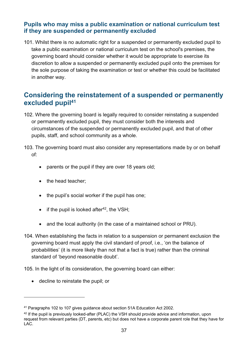#### **Pupils who may miss a public examination or national curriculum test if they are suspended or permanently excluded**

101. Whilst there is no automatic right for a suspended or permanently excluded pupil to take a public examination or national curriculum test on the school's premises, the governing board should consider whether it would be appropriate to exercise its discretion to allow a suspended or permanently excluded pupil onto the premises for the sole purpose of taking the examination or test or whether this could be facilitated in another way.

## **Considering the reinstatement of a suspended or permanently excluded pupil<sup>41</sup>**

102. Where the governing board is legally required to consider reinstating a suspended or permanently excluded pupil, they must consider both the interests and circumstances of the suspended or permanently excluded pupil, and that of other pupils, staff, and school community as a whole.

103. The governing board must also consider any representations made by or on behalf of:

- parents or the pupil if they are over 18 years old;
- the head teacher;
- the pupil's social worker if the pupil has one;
- $\bullet$  if the pupil is looked after<sup>42</sup>, the VSH;
- and the local authority (in the case of a maintained school or PRU).
- 104. When establishing the facts in relation to a suspension or permanent exclusion the governing board must apply the civil standard of proof, i.e., 'on the balance of probabilities' (it is more likely than not that a fact is true) rather than the criminal standard of 'beyond reasonable doubt'.

105. In the light of its consideration, the governing board can either:

• decline to reinstate the pupil; or

<sup>41</sup> Paragraphs 102 to 107 gives guidance about section 51A Education Act 2002.

<sup>&</sup>lt;sup>42</sup> If the pupil is previously looked-after (PLAC) the VSH should provide advice and information, upon request from relevant parties (DT, parents, etc) but does not have a corporate parent role that they have for LAC.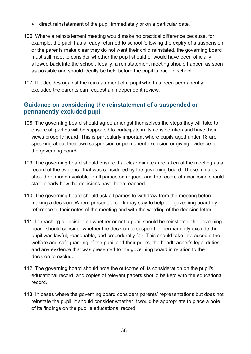- direct reinstatement of the pupil immediately or on a particular date.
- 106. Where a reinstatement meeting would make no practical difference because, for example, the pupil has already returned to school following the expiry of a suspension or the parents make clear they do not want their child reinstated, the governing board must still meet to consider whether the pupil should or would have been officially allowed back into the school. Ideally, a reinstatement meeting should happen as soon as possible and should ideally be held before the pupil is back in school.
- 107. If it decides against the reinstatement of a pupil who has been permanently excluded the parents can request an independent review.

#### **Guidance on considering the reinstatement of a suspended or permanently excluded pupil**

- 108. The governing board should agree amongst themselves the steps they will take to ensure all parties will be supported to participate in its consideration and have their views properly heard. This is particularly important where pupils aged under 18 are speaking about their own suspension or permanent exclusion or giving evidence to the governing board.
- 109. The governing board should ensure that clear minutes are taken of the meeting as a record of the evidence that was considered by the governing board. These minutes should be made available to all parties on request and the record of discussion should state clearly how the decisions have been reached.
- 110. The governing board should ask all parties to withdraw from the meeting before making a decision. Where present, a clerk may stay to help the governing board by reference to their notes of the meeting and with the wording of the decision letter.
- 111. In reaching a decision on whether or not a pupil should be reinstated, the governing board should consider whether the decision to suspend or permanently exclude the pupil was lawful, reasonable, and procedurally fair. This should take into account the welfare and safeguarding of the pupil and their peers, the headteacher's legal duties and any evidence that was presented to the governing board in relation to the decision to exclude.
- 112. The governing board should note the outcome of its consideration on the pupil's educational record, and copies of relevant papers should be kept with the educational record.
- 113. In cases where the governing board considers parents' representations but does not reinstate the pupil, it should consider whether it would be appropriate to place a note of its findings on the pupil's educational record.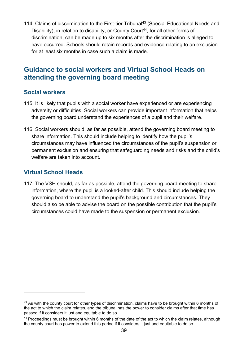114. Claims of discrimination to the First-tier Tribunal<sup>43</sup> (Special Educational Needs and Disability), in relation to disability, or County Court<sup>44</sup>, for all other forms of discrimination, can be made up to six months after the discrimination is alleged to have occurred. Schools should retain records and evidence relating to an exclusion for at least six months in case such a claim is made.

## **Guidance to social workers and Virtual School Heads on attending the governing board meeting**

#### **Social workers**

- 115. It is likely that pupils with a social worker have experienced or are experiencing adversity or difficulties. Social workers can provide important information that helps the governing board understand the experiences of a pupil and their welfare.
- 116. Social workers should, as far as possible, attend the governing board meeting to share information. This should include helping to identify how the pupil's circumstances may have influenced the circumstances of the pupil's suspension or permanent exclusion and ensuring that safeguarding needs and risks and the child's welfare are taken into account.

#### **Virtual School Heads**

117. The VSH should, as far as possible, attend the governing board meeting to share information, where the pupil is a looked-after child. This should include helping the governing board to understand the pupil's background and circumstances. They should also be able to advise the board on the possible contribution that the pupil's circumstances could have made to the suspension or permanent exclusion.

<sup>&</sup>lt;sup>43</sup> As with the county court for other types of discrimination, claims have to be brought within 6 months of the act to which the claim relates, and the tribunal has the power to consider claims after that time has passed if it considers it just and equitable to do so.

<sup>&</sup>lt;sup>44</sup> Proceedings must be brought within 6 months of the date of the act to which the claim relates, although the county court has power to extend this period if it considers it just and equitable to do so.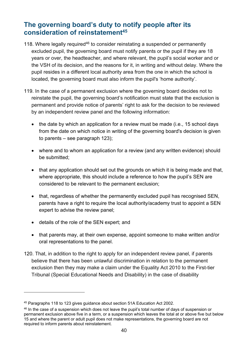## **The governing board's duty to notify people after its consideration of reinstatement<sup>45</sup>**

- 118. Where legally required<sup>46</sup> to consider reinstating a suspended or permanently excluded pupil, the governing board must notify parents or the pupil if they are 18 years or over, the headteacher, and where relevant, the pupil's social worker and or the VSH of its decision, and the reasons for it, in writing and without delay. Where the pupil resides in a different local authority area from the one in which the school is located, the governing board must also inform the pupil's 'home authority'.
- 119. In the case of a permanent exclusion where the governing board decides not to reinstate the pupil, the governing board's notification must state that the exclusion is permanent and provide notice of parents' right to ask for the decision to be reviewed by an independent review panel and the following information:
	- the date by which an application for a review must be made (i.e., 15 school days from the date on which notice in writing of the governing board's decision is given to parents – see paragraph 123);
	- where and to whom an application for a review (and any written evidence) should be submitted;
	- that any application should set out the grounds on which it is being made and that, where appropriate, this should include a reference to how the pupil's SEN are considered to be relevant to the permanent exclusion;
	- that, regardless of whether the permanently excluded pupil has recognised SEN, parents have a right to require the local authority/academy trust to appoint a SEN expert to advise the review panel;
	- details of the role of the SEN expert; and
	- that parents may, at their own expense, appoint someone to make written and/or oral representations to the panel.
- 120. That, in addition to the right to apply for an independent review panel, if parents believe that there has been unlawful discrimination in relation to the permanent exclusion then they may make a claim under the Equality Act 2010 to the First-tier Tribunal (Special Educational Needs and Disability) in the case of disability

<sup>45</sup> Paragraphs 118 to 123 gives guidance about section 51A Education Act 2002.

<sup>&</sup>lt;sup>46</sup> In the case of a suspension which does not leave the pupil's total number of days of suspension or permanent exclusion above five in a term, or a suspension which leaves the total at or above five but below 15 and where the parent or adult pupil does not make representations, the governing board are not required to inform parents about reinstatement.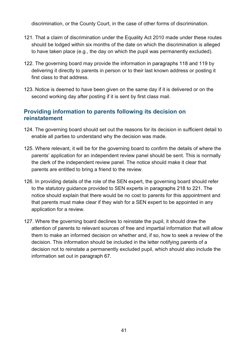discrimination, or the County Court, in the case of other forms of discrimination.

- 121. That a claim of discrimination under the Equality Act 2010 made under these routes should be lodged within six months of the date on which the discrimination is alleged to have taken place (e.g., the day on which the pupil was permanently excluded).
- 122. The governing board may provide the information in paragraphs 118 and 119 by delivering it directly to parents in person or to their last known address or posting it first class to that address.
- 123. Notice is deemed to have been given on the same day if it is delivered or on the second working day after posting if it is sent by first class mail.

#### **Providing information to parents following its decision on reinstatement**

- 124. The governing board should set out the reasons for its decision in sufficient detail to enable all parties to understand why the decision was made.
- 125. Where relevant, it will be for the governing board to confirm the details of where the parents' application for an independent review panel should be sent. This is normally the clerk of the independent review panel. The notice should make it clear that parents are entitled to bring a friend to the review.
- 126. In providing details of the role of the SEN expert, the governing board should refer to the statutory guidance provided to SEN experts in paragraphs 218 to 221. The notice should explain that there would be no cost to parents for this appointment and that parents must make clear if they wish for a SEN expert to be appointed in any application for a review.
- 127. Where the governing board declines to reinstate the pupil, it should draw the attention of parents to relevant sources of free and impartial information that will allow them to make an informed decision on whether and, if so, how to seek a review of the decision. This information should be included in the letter notifying parents of a decision not to reinstate a permanently excluded pupil, which should also include the information set out in paragraph 67.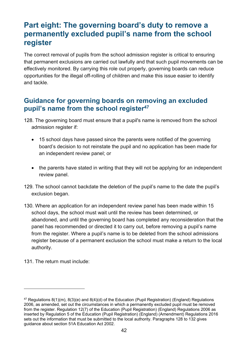# <span id="page-41-0"></span>**Part eight: The governing board's duty to remove a permanently excluded pupil's name from the school register**

The correct removal of pupils from the school admission register is critical to ensuring that permanent exclusions are carried out lawfully and that such pupil movements can be effectively monitored. By carrying this role out properly, governing boards can reduce opportunities for the illegal off-rolling of children and make this issue easier to identify and tackle.

## **Guidance for governing boards on removing an excluded pupil's name from the school register<sup>47</sup>**

- 128. The governing board must ensure that a pupil's name is removed from the school admission register if:
	- 15 school days have passed since the parents were notified of the governing board's decision to not reinstate the pupil and no application has been made for an independent review panel; or
	- the parents have stated in writing that they will not be applying for an independent review panel.
- 129. The school cannot backdate the deletion of the pupil's name to the date the pupil's exclusion began.
- 130. Where an application for an independent review panel has been made within 15 school days, the school must wait until the review has been determined, or abandoned, and until the governing board has completed any reconsideration that the panel has recommended or directed it to carry out, before removing a pupil's name from the register. Where a pupil's name is to be deleted from the school admissions register because of a permanent exclusion the school must make a return to the local authority.
- 131. The return must include:

 $47$  Regulations 8(1)(m), 8(3)(e) and 8(4)(d) of the Education (Pupil Registration) (England) Regulations 2006, as amended, set out the circumstances in which a permanently excluded pupil must be removed from the register. Regulation 12(7) of the Education (Pupil Registration) (England) Regulations 2006 as inserted by [Regulation 5 of the Education \(Pupil Registration\) \(England\) \(Amendment\) Regulations 2016](http://www.legislation.gov.uk/uksi/2016/792/regulation/5/made) sets out the information that must be submitted to the local authority. Paragraphs 128 to 132 gives guidance about section 51A Education Act 2002.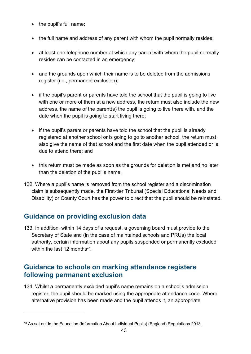- the pupil's full name;
- the full name and address of any parent with whom the pupil normally resides;
- at least one telephone number at which any parent with whom the pupil normally resides can be contacted in an emergency;
- and the grounds upon which their name is to be deleted from the admissions register (i.e., permanent exclusion);
- if the pupil's parent or parents have told the school that the pupil is going to live with one or more of them at a new address, the return must also include the new address, the name of the parent(s) the pupil is going to live there with, and the date when the pupil is going to start living there;
- if the pupil's parent or parents have told the school that the pupil is already registered at another school or is going to go to another school, the return must also give the name of that school and the first date when the pupil attended or is due to attend there; and
- this return must be made as soon as the grounds for deletion is met and no later than the deletion of the pupil's name.
- 132. Where a pupil's name is removed from the school register and a discrimination claim is subsequently made, the First-tier Tribunal (Special Educational Needs and Disability) or County Court has the power to direct that the pupil should be reinstated.

## **Guidance on providing exclusion data**

133. In addition, within 14 days of a request, a governing board must provide to the Secretary of State and (in the case of maintained schools and PRUs) the local authority, certain information about any pupils suspended or permanently excluded within the last 12 months $48$ .

## **Guidance to schools on marking attendance registers following permanent exclusion**

134. Whilst a permanently excluded pupil's name remains on a school's admission register, the pupil should be marked using the appropriate attendance code. Where alternative provision has been made and the pupil attends it, an appropriate

<sup>48</sup> As set out in the Education (Information About Individual Pupils) (England) Regulations 2013.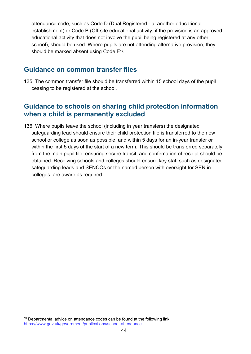attendance code, such as Code D (Dual Registered - at another educational establishment) or Code B (Off-site educational activity, if the provision is an approved educational activity that does not involve the pupil being registered at any other school), should be used. Where pupils are not attending alternative provision, they should be marked absent using Code E<sup>49</sup> .

## **Guidance on common transfer files**

135. The common transfer file should be transferred within 15 school days of the pupil ceasing to be registered at the school.

## **Guidance to schools on sharing child protection information when a child is permanently excluded**

136. Where pupils leave the school (including in year transfers) the designated safeguarding lead should ensure their child protection file is transferred to the new school or college as soon as possible, and within 5 days for an in-year transfer or within the first 5 days of the start of a new term. This should be transferred separately from the main pupil file, ensuring secure transit, and confirmation of receipt should be obtained. Receiving schools and colleges should ensure key staff such as designated safeguarding leads and SENCOs or the named person with oversight for SEN in colleges, are aware as required.

 $49$  Departmental advice on attendance codes can be found at the following link: [https://www.gov.uk/government/publications/school-attendance.](https://www.gov.uk/government/publications/school-attendance)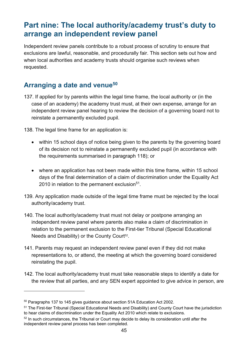# <span id="page-44-0"></span>**Part nine: The local authority/academy trust's duty to arrange an independent review panel**

Independent review panels contribute to a robust process of scrutiny to ensure that exclusions are lawful, reasonable, and procedurally fair. This section sets out how and when local authorities and academy trusts should organise such reviews when requested.

## **Arranging a date and venue<sup>50</sup>**

137. If applied for by parents within the legal time frame, the local authority or (in the case of an academy) the academy trust must, at their own expense, arrange for an independent review panel hearing to review the decision of a governing board not to reinstate a permanently excluded pupil.

138. The legal time frame for an application is:

- within 15 school days of notice being given to the parents by the governing board of its decision not to reinstate a permanently excluded pupil (in accordance with the requirements summarised in paragraph 118); or
- where an application has not been made within this time frame, within 15 school days of the final determination of a claim of discrimination under the Equality Act 2010 in relation to the permanent exclusion $^{\mathsf{51}}$ .
- 139. Any application made outside of the legal time frame must be rejected by the local authority/academy trust.
- 140. The local authority/academy trust must not delay or postpone arranging an independent review panel where parents also make a claim of discrimination in relation to the permanent exclusion to the First-tier Tribunal (Special Educational Needs and Disability) or the County Court $^{\mathfrak{s}\mathfrak{z}}.$
- 141. Parents may request an independent review panel even if they did not make representations to, or attend, the meeting at which the governing board considered reinstating the pupil.
- 142. The local authority/academy trust must take reasonable steps to identify a date for the review that all parties, and any SEN expert appointed to give advice in person, are

<sup>50</sup> Paragraphs 137 to 145 gives guidance about section 51A Education Act 2002.

<sup>51</sup> The First-tier Tribunal (Special Educational Needs and Disability) and County Court have the jurisdiction to hear claims of discrimination under the Equality Act 2010 which relate to exclusions.

 $52$  In such circumstances, the Tribunal or Court may decide to delay its consideration until after the independent review panel process has been completed.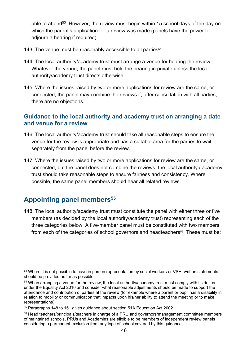able to attend<sup>53</sup>. However, the review must begin within 15 school days of the day on which the parent's application for a review was made (panels have the power to adjourn a hearing if required).

- 143. The venue must be reasonably accessible to all parties<sup>54</sup>.
- 144. The local authority/academy trust must arrange a venue for hearing the review. Whatever the venue, the panel must hold the hearing in private unless the local authority/academy trust directs otherwise.
- 145. Where the issues raised by two or more applications for review are the same, or connected, the panel may combine the reviews if, after consultation with all parties, there are no objections.

#### **Guidance to the local authority and academy trust on arranging a date and venue for a review**

- 146. The local authority/academy trust should take all reasonable steps to ensure the venue for the review is appropriate and has a suitable area for the parties to wait separately from the panel before the review.
- 147. Where the issues raised by two or more applications for review are the same, or connected, but the panel does not combine the reviews, the local authority / academy trust should take reasonable steps to ensure fairness and consistency. Where possible, the same panel members should hear all related reviews.

## **Appointing panel members<sup>55</sup>**

148. The local authority/academy trust must constitute the panel with either three or five members (as decided by the local authority/academy trust) representing each of the three categories below. A five-member panel must be constituted with two members from each of the categories of school governors and headteachers<sup>56</sup>. These must be:

<sup>&</sup>lt;sup>53</sup> Where it is not possible to have in person representation by social workers or VSH, written statements should be provided as far as possible.

 $54$  When arranging a venue for the review, the local authority/academy trust must comply with its duties under the Equality Act 2010 and consider what reasonable adjustments should be made to support the attendance and contribution of parties at the review (for example where a parent or pupil has a disability in relation to mobility or communication that impacts upon his/her ability to attend the meeting or to make representations).

<sup>55</sup> Paragraphs 148 to 151 gives guidance about section 51A Education Act 2002.

<sup>56</sup> Head teachers/principals/teachers in charge of a PRU and governors/management committee members of maintained schools, PRUs and Academies are eligible to be members of independent review panels considering a permanent exclusion from any type of school covered by this guidance.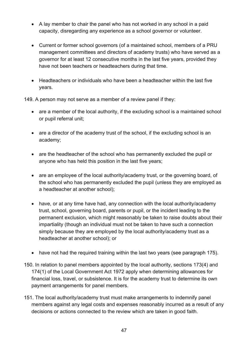- A lay member to chair the panel who has not worked in any school in a paid capacity, disregarding any experience as a school governor or volunteer.
- Current or former school governors (of a maintained school, members of a PRU management committees and directors of academy trusts) who have served as a governor for at least 12 consecutive months in the last five years, provided they have not been teachers or headteachers during that time.
- Headteachers or individuals who have been a headteacher within the last five years.

149. A person may not serve as a member of a review panel if they:

- are a member of the local authority, if the excluding school is a maintained school or pupil referral unit;
- are a director of the academy trust of the school, if the excluding school is an academy;
- are the headteacher of the school who has permanently excluded the pupil or anyone who has held this position in the last five years;
- are an employee of the local authority/academy trust, or the governing board, of the school who has permanently excluded the pupil (unless they are employed as a headteacher at another school);
- have, or at any time have had, any connection with the local authority/academy trust, school, governing board, parents or pupil, or the incident leading to the permanent exclusion, which might reasonably be taken to raise doubts about their impartiality (though an individual must not be taken to have such a connection simply because they are employed by the local authority/academy trust as a headteacher at another school); or
- have not had the required training within the last two years (see paragraph 175).
- 150. In relation to panel members appointed by the local authority, sections 173(4) and 174(1) of the Local Government Act 1972 apply when determining allowances for financial loss, travel, or subsistence. It is for the academy trust to determine its own payment arrangements for panel members.
- 151. The local authority/academy trust must make arrangements to indemnify panel members against any legal costs and expenses reasonably incurred as a result of any decisions or actions connected to the review which are taken in good faith.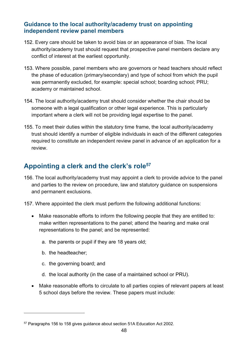#### **Guidance to the local authority/academy trust on appointing independent review panel members**

- 152. Every care should be taken to avoid bias or an appearance of bias. The local authority/academy trust should request that prospective panel members declare any conflict of interest at the earliest opportunity.
- 153. Where possible, panel members who are governors or head teachers should reflect the phase of education (primary/secondary) and type of school from which the pupil was permanently excluded, for example: special school; boarding school; PRU; academy or maintained school.
- 154. The local authority/academy trust should consider whether the chair should be someone with a legal qualification or other legal experience. This is particularly important where a clerk will not be providing legal expertise to the panel.
- 155. To meet their duties within the statutory time frame, the local authority/academy trust should identify a number of eligible individuals in each of the different categories required to constitute an independent review panel in advance of an application for a review.

## **Appointing a clerk and the clerk's role<sup>57</sup>**

156. The local authority/academy trust may appoint a clerk to provide advice to the panel and parties to the review on procedure, law and statutory guidance on suspensions and permanent exclusions.

157. Where appointed the clerk must perform the following additional functions:

- Make reasonable efforts to inform the following people that they are entitled to: make written representations to the panel; attend the hearing and make oral representations to the panel; and be represented:
	- a. the parents or pupil if they are 18 years old;
	- b. the headteacher;
	- c. the governing board; and
	- d. the local authority (in the case of a maintained school or PRU).
- Make reasonable efforts to circulate to all parties copies of relevant papers at least 5 school days before the review. These papers must include:

<sup>57</sup> Paragraphs 156 to 158 gives guidance about section 51A Education Act 2002.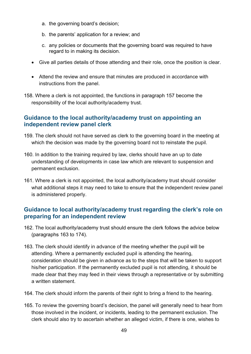- a. the governing board's decision;
- b. the parents' application for a review; and
- c. any policies or documents that the governing board was required to have regard to in making its decision.
- Give all parties details of those attending and their role, once the position is clear.
- Attend the review and ensure that minutes are produced in accordance with instructions from the panel.
- 158. Where a clerk is not appointed, the functions in paragraph 157 become the responsibility of the local authority/academy trust.

#### **Guidance to the local authority/academy trust on appointing an independent review panel clerk**

- 159. The clerk should not have served as clerk to the governing board in the meeting at which the decision was made by the governing board not to reinstate the pupil.
- 160. In addition to the training required by law, clerks should have an up to date understanding of developments in case law which are relevant to suspension and permanent exclusion.
- 161. Where a clerk is not appointed, the local authority/academy trust should consider what additional steps it may need to take to ensure that the independent review panel is administered properly.

#### **Guidance to local authority/academy trust regarding the clerk's role on preparing for an independent review**

- 162. The local authority/academy trust should ensure the clerk follows the advice below (paragraphs 163 to 174).
- 163. The clerk should identify in advance of the meeting whether the pupil will be attending. Where a permanently excluded pupil is attending the hearing, consideration should be given in advance as to the steps that will be taken to support his/her participation. If the permanently excluded pupil is not attending, it should be made clear that they may feed in their views through a representative or by submitting a written statement.
- 164. The clerk should inform the parents of their right to bring a friend to the hearing.
- 165. To review the governing board's decision, the panel will generally need to hear from those involved in the incident, or incidents, leading to the permanent exclusion. The clerk should also try to ascertain whether an alleged victim, if there is one, wishes to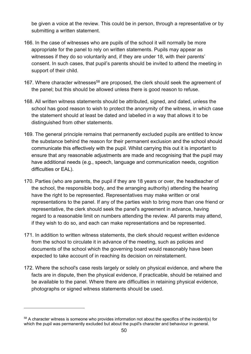be given a voice at the review. This could be in person, through a representative or by submitting a written statement.

- 166. In the case of witnesses who are pupils of the school it will normally be more appropriate for the panel to rely on written statements. Pupils may appear as witnesses if they do so voluntarily and, if they are under 18, with their parents' consent. In such cases, that pupil's parents should be invited to attend the meeting in support of their child.
- 167. Where character witnesses<sup>58</sup> are proposed, the clerk should seek the agreement of the panel; but this should be allowed unless there is good reason to refuse.
- 168. All written witness statements should be attributed, signed, and dated, unless the school has good reason to wish to protect the anonymity of the witness, in which case the statement should at least be dated and labelled in a way that allows it to be distinguished from other statements.
- 169. The general principle remains that permanently excluded pupils are entitled to know the substance behind the reason for their permanent exclusion and the school should communicate this effectively with the pupil. Whilst carrying this out it is important to ensure that any reasonable adjustments are made and recognising that the pupil may have additional needs (e.g., speech, language and communication needs, cognition difficulties or EAL).
- 170. Parties (who are parents, the pupil if they are 18 years or over, the headteacher of the school, the responsible body, and the arranging authority) attending the hearing have the right to be represented. Representatives may make written or oral representations to the panel. If any of the parties wish to bring more than one friend or representative, the clerk should seek the panel's agreement in advance, having regard to a reasonable limit on numbers attending the review. All parents may attend, if they wish to do so, and each can make representations and be represented.
- 171. In addition to written witness statements, the clerk should request written evidence from the school to circulate it in advance of the meeting, such as policies and documents of the school which the governing board would reasonably have been expected to take account of in reaching its decision on reinstatement.
- 172. Where the school's case rests largely or solely on physical evidence, and where the facts are in dispute, then the physical evidence, if practicable, should be retained and be available to the panel. Where there are difficulties in retaining physical evidence, photographs or signed witness statements should be used.

<sup>&</sup>lt;sup>58</sup> A character witness is someone who provides information not about the specifics of the incident(s) for which the pupil was permanently excluded but about the pupil's character and behaviour in general.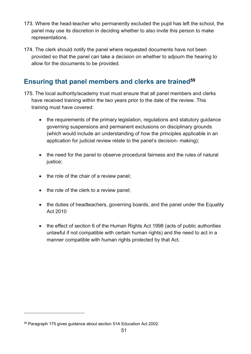- 173. Where the head-teacher who permanently excluded the pupil has left the school, the panel may use its discretion in deciding whether to also invite this person to make representations.
- 174. The clerk should notify the panel where requested documents have not been provided so that the panel can take a decision on whether to adjourn the hearing to allow for the documents to be provided.

## **Ensuring that panel members and clerks are trained<sup>59</sup>**

- 175. The local authority/academy trust must ensure that all panel members and clerks have received training within the two years prior to the date of the review. This training must have covered:
	- the requirements of the primary legislation, regulations and statutory guidance governing suspensions and permanent exclusions on disciplinary grounds (which would include an understanding of how the principles applicable in an application for judicial review relate to the panel's decision- making):
	- the need for the panel to observe procedural fairness and the rules of natural justice;
	- the role of the chair of a review panel;
	- the role of the clerk to a review panel;
	- the duties of headteachers, governing boards, and the panel under the Equality Act 2010
	- the effect of section 6 of the Human Rights Act 1998 (acts of public authorities unlawful if not compatible with certain human rights) and the need to act in a manner compatible with human rights protected by that Act.

<sup>59</sup> Paragraph 175 gives guidance about section 51A Education Act 2002.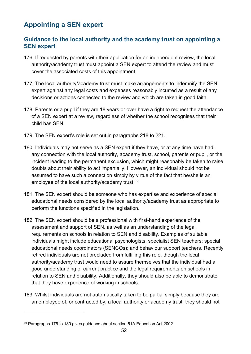## **Appointing a SEN expert**

#### **Guidance to the local authority and the academy trust on appointing a SEN expert**

- 176. If requested by parents with their application for an independent review, the local authority/academy trust must appoint a SEN expert to attend the review and must cover the associated costs of this appointment.
- 177. The local authority/academy trust must make arrangements to indemnify the SEN expert against any legal costs and expenses reasonably incurred as a result of any decisions or actions connected to the review and which are taken in good faith.
- 178. Parents or a pupil if they are 18 years or over have a right to request the attendance of a SEN expert at a review, regardless of whether the school recognises that their child has SEN.
- 179. The SEN expert's role is set out in paragraphs 218 to 221.
- 180. Individuals may not serve as a SEN expert if they have, or at any time have had, any connection with the local authority, academy trust, school, parents or pupil, or the incident leading to the permanent exclusion, which might reasonably be taken to raise doubts about their ability to act impartially. However, an individual should not be assumed to have such a connection simply by virtue of the fact that he/she is an employee of the local authority/academy trust. 60
- 181. The SEN expert should be someone who has expertise and experience of special educational needs considered by the local authority/academy trust as appropriate to perform the functions specified in the legislation.
- 182. The SEN expert should be a professional with first-hand experience of the assessment and support of SEN, as well as an understanding of the legal requirements on schools in relation to SEN and disability. Examples of suitable individuals might include educational psychologists; specialist SEN teachers; special educational needs coordinators (SENCOs); and behaviour support teachers. Recently retired individuals are not precluded from fulfilling this role, though the local authority/academy trust would need to assure themselves that the individual had a good understanding of current practice and the legal requirements on schools in relation to SEN and disability. Additionally, they should also be able to demonstrate that they have experience of working in schools.
- 183. Whilst individuals are not automatically taken to be partial simply because they are an employee of, or contracted by, a local authority or academy trust, they should not

<sup>&</sup>lt;sup>60</sup> Paragraphs 176 to 180 gives guidance about section 51A Education Act 2002.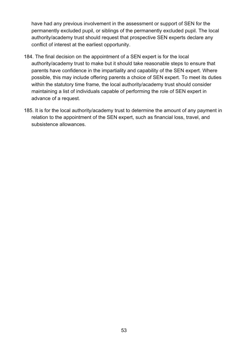have had any previous involvement in the assessment or support of SEN for the permanently excluded pupil, or siblings of the permanently excluded pupil. The local authority/academy trust should request that prospective SEN experts declare any conflict of interest at the earliest opportunity.

- 184. The final decision on the appointment of a SEN expert is for the local authority/academy trust to make but it should take reasonable steps to ensure that parents have confidence in the impartiality and capability of the SEN expert. Where possible, this may include offering parents a choice of SEN expert. To meet its duties within the statutory time frame, the local authority/academy trust should consider maintaining a list of individuals capable of performing the role of SEN expert in advance of a request.
- 185. It is for the local authority/academy trust to determine the amount of any payment in relation to the appointment of the SEN expert, such as financial loss, travel, and subsistence allowances.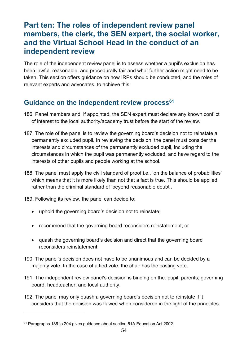# <span id="page-53-0"></span>**Part ten: The roles of independent review panel members, the clerk, the SEN expert, the social worker, and the Virtual School Head in the conduct of an independent review**

The role of the independent review panel is to assess whether a pupil's exclusion has been lawful, reasonable, and procedurally fair and what further action might need to be taken. This section offers guidance on how IRPs should be conducted, and the roles of relevant experts and advocates, to achieve this.

## **Guidance on the independent review process<sup>61</sup>**

- 186. Panel members and, if appointed, the SEN expert must declare any known conflict of interest to the local authority/academy trust before the start of the review.
- 187. The role of the panel is to review the governing board's decision not to reinstate a permanently excluded pupil. In reviewing the decision, the panel must consider the interests and circumstances of the permanently excluded pupil, including the circumstances in which the pupil was permanently excluded, and have regard to the interests of other pupils and people working at the school.
- 188. The panel must apply the civil standard of proof i.e., 'on the balance of probabilities' which means that it is more likely than not that a fact is true. This should be applied rather than the criminal standard of 'beyond reasonable doubt'.
- 189. Following its review, the panel can decide to:
	- uphold the governing board's decision not to reinstate;
	- recommend that the governing board reconsiders reinstatement; or
	- quash the governing board's decision and direct that the governing board reconsiders reinstatement.
- 190. The panel's decision does not have to be unanimous and can be decided by a majority vote. In the case of a tied vote, the chair has the casting vote.
- 191. The independent review panel's decision is binding on the: pupil; parents; governing board; headteacher; and local authority.
- 192. The panel may only quash a governing board's decision not to reinstate if it considers that the decision was flawed when considered in the light of the principles

<sup>&</sup>lt;sup>61</sup> Paragraphs 186 to 204 gives guidance about section 51A Education Act 2002.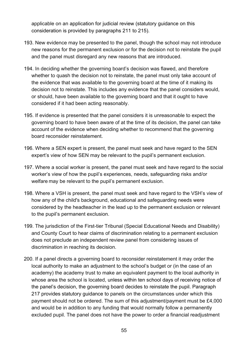applicable on an application for judicial review (statutory guidance on this consideration is provided by paragraphs 211 to 215).

- 193. New evidence may be presented to the panel, though the school may not introduce new reasons for the permanent exclusion or for the decision not to reinstate the pupil and the panel must disregard any new reasons that are introduced.
- 194. In deciding whether the governing board's decision was flawed, and therefore whether to quash the decision not to reinstate, the panel must only take account of the evidence that was available to the governing board at the time of it making its decision not to reinstate. This includes any evidence that the panel considers would, or should, have been available to the governing board and that it ought to have considered if it had been acting reasonably.
- 195. If evidence is presented that the panel considers it is unreasonable to expect the governing board to have been aware of at the time of its decision, the panel can take account of the evidence when deciding whether to recommend that the governing board reconsider reinstatement.
- 196. Where a SEN expert is present, the panel must seek and have regard to the SEN expert's view of how SEN may be relevant to the pupil's permanent exclusion.
- 197. Where a social worker is present, the panel must seek and have regard to the social worker's view of how the pupil's experiences, needs, safeguarding risks and/or welfare may be relevant to the pupil's permanent exclusion.
- 198. Where a VSH is present, the panel must seek and have regard to the VSH's view of how any of the child's background, educational and safeguarding needs were considered by the headteacher in the lead up to the permanent exclusion or relevant to the pupil's permanent exclusion.
- 199. The jurisdiction of the First-tier Tribunal (Special Educational Needs and Disability) and County Court to hear claims of discrimination relating to a permanent exclusion does not preclude an independent review panel from considering issues of discrimination in reaching its decision.
- 200. If a panel directs a governing board to reconsider reinstatement it may order the local authority to make an adjustment to the school's budget or (in the case of an academy) the academy trust to make an equivalent payment to the local authority in whose area the school is located, unless within ten school days of receiving notice of the panel's decision, the governing board decides to reinstate the pupil. Paragraph 217 provides statutory guidance to panels on the circumstances under which this payment should not be ordered. The sum of this adjustment/payment must be £4,000 and would be in addition to any funding that would normally follow a permanently excluded pupil. The panel does not have the power to order a financial readjustment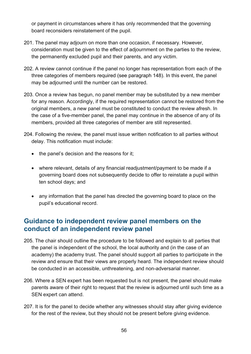or payment in circumstances where it has only recommended that the governing board reconsiders reinstatement of the pupil.

- 201. The panel may adjourn on more than one occasion, if necessary. However, consideration must be given to the effect of adjournment on the parties to the review, the permanently excluded pupil and their parents, and any victim.
- 202. A review cannot continue if the panel no longer has representation from each of the three categories of members required (see paragraph 148). In this event, the panel may be adjourned until the number can be restored.
- 203. Once a review has begun, no panel member may be substituted by a new member for any reason. Accordingly, if the required representation cannot be restored from the original members, a new panel must be constituted to conduct the review afresh. In the case of a five-member panel, the panel may continue in the absence of any of its members, provided all three categories of member are still represented.
- 204. Following the review, the panel must issue written notification to all parties without delay. This notification must include:
	- the panel's decision and the reasons for it;
	- where relevant, details of any financial readjustment/payment to be made if a governing board does not subsequently decide to offer to reinstate a pupil within ten school days; and
	- any information that the panel has directed the governing board to place on the pupil's educational record.

## **Guidance to independent review panel members on the conduct of an independent review panel**

- 205. The chair should outline the procedure to be followed and explain to all parties that the panel is independent of the school, the local authority and (in the case of an academy) the academy trust. The panel should support all parties to participate in the review and ensure that their views are properly heard. The independent review should be conducted in an accessible, unthreatening, and non-adversarial manner.
- 206. Where a SEN expert has been requested but is not present, the panel should make parents aware of their right to request that the review is adjourned until such time as a SEN expert can attend.
- 207. It is for the panel to decide whether any witnesses should stay after giving evidence for the rest of the review, but they should not be present before giving evidence.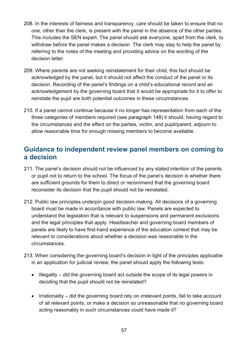- 208. In the interests of fairness and transparency, care should be taken to ensure that no one, other than the clerk, is present with the panel in the absence of the other parties. This includes the SEN expert. The panel should ask everyone, apart from the clerk, to withdraw before the panel makes a decision. The clerk may stay to help the panel by referring to the notes of the meeting and providing advice on the wording of the decision letter.
- 209. Where parents are not seeking reinstatement for their child, this fact should be acknowledged by the panel, but it should not affect the conduct of the panel or its decision. Recording of the panel's findings on a child's educational record and an acknowledgement by the governing board that it would be appropriate for it to offer to reinstate the pupil are both potential outcomes in these circumstances.
- 210. If a panel cannot continue because it no longer has representation from each of the three categories of members required (see paragraph 148) it should, having regard to the circumstances and the effect on the parties, victim, and pupil/parent, adjourn to allow reasonable time for enough missing members to become available.

## **Guidance to independent review panel members on coming to a decision**

- 211. The panel's decision should not be influenced by any stated intention of the parents or pupil not to return to the school. The focus of the panel's decision is whether there are sufficient grounds for them to direct or recommend that the governing board reconsider its decision that the pupil should not be reinstated.
- 212. Public law principles underpin good decision-making. All decisions of a governing board must be made in accordance with public law. Panels are expected to understand the legislation that is relevant to suspensions and permanent exclusions and the legal principles that apply. Headteacher and governing board members of panels are likely to have first-hand experience of the education context that may be relevant to considerations about whether a decision was reasonable in the circumstances.
- 213. When considering the governing board's decision in light of the principles applicable in an application for judicial review, the panel should apply the following tests:
	- Illegality did the governing board act outside the scope of its legal powers in deciding that the pupil should not be reinstated?
	- Irrationality did the governing board rely on irrelevant points, fail to take account of all relevant points, or make a decision so unreasonable that no governing board acting reasonably in such circumstances could have made it?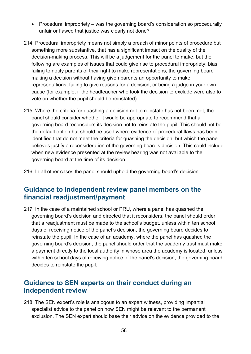- Procedural impropriety was the governing board's consideration so procedurally unfair or flawed that justice was clearly not done?
- 214. Procedural impropriety means not simply a breach of minor points of procedure but something more substantive, that has a significant impact on the quality of the decision-making process. This will be a judgement for the panel to make, but the following are examples of issues that could give rise to procedural impropriety: bias; failing to notify parents of their right to make representations; the governing board making a decision without having given parents an opportunity to make representations; failing to give reasons for a decision; or being a judge in your own cause (for example, if the headteacher who took the decision to exclude were also to vote on whether the pupil should be reinstated).
- 215. Where the criteria for quashing a decision not to reinstate has not been met, the panel should consider whether it would be appropriate to recommend that a governing board reconsiders its decision not to reinstate the pupil. This should not be the default option but should be used where evidence of procedural flaws has been identified that do not meet the criteria for quashing the decision, but which the panel believes justify a reconsideration of the governing board's decision. This could include when new evidence presented at the review hearing was not available to the governing board at the time of its decision.
- 216. In all other cases the panel should uphold the governing board's decision.

## **Guidance to independent review panel members on the financial readjustment/payment**

217. In the case of a maintained school or PRU, where a panel has quashed the governing board's decision and directed that it reconsiders, the panel should order that a readjustment must be made to the school's budget, unless within ten school days of receiving notice of the panel's decision, the governing board decides to reinstate the pupil. In the case of an academy, where the panel has quashed the governing board's decision, the panel should order that the academy trust must make a payment directly to the local authority in whose area the academy is located, unless within ten school days of receiving notice of the panel's decision, the governing board decides to reinstate the pupil.

## **Guidance to SEN experts on their conduct during an independent review**

218. The SEN expert's role is analogous to an expert witness, providing impartial specialist advice to the panel on how SEN might be relevant to the permanent exclusion. The SEN expert should base their advice on the evidence provided to the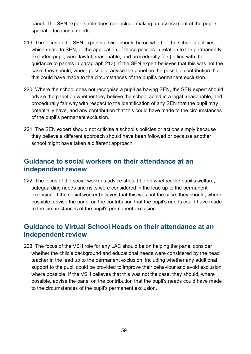panel. The SEN expert's role does not include making an assessment of the pupil's special educational needs.

- 219. The focus of the SEN expert's advice should be on whether the school's policies which relate to SEN, or the application of these policies in relation to the permanently excluded pupil, were lawful, reasonable, and procedurally fair (in line with the guidance to panels in paragraph 213). If the SEN expert believes that this was not the case, they should, where possible, advise the panel on the possible contribution that this could have made to the circumstances of the pupil's permanent exclusion.
- 220. Where the school does not recognise a pupil as having SEN, the SEN expert should advise the panel on whether they believe the school acted in a legal, reasonable, and procedurally fair way with respect to the identification of any SEN that the pupil may potentially have, and any contribution that this could have made to the circumstances of the pupil's permanent exclusion.
- 221. The SEN expert should not criticise a school's policies or actions simply because they believe a different approach should have been followed or because another school might have taken a different approach.

## **Guidance to social workers on their attendance at an independent review**

222. The focus of the social worker's advice should be on whether the pupil's welfare, safeguarding needs and risks were considered in the lead up to the permanent exclusion. If the social worker believes that this was not the case, they should, where possible, advise the panel on the contribution that the pupil's needs could have made to the circumstances of the pupil's permanent exclusion.

## **Guidance to Virtual School Heads on their attendance at an independent review**

223. The focus of the VSH role for any LAC should be on helping the panel consider whether the child's background and educational needs were considered by the head teacher in the lead up to the permanent exclusion, including whether any additional support to the pupil could be provided to improve their behaviour and avoid exclusion where possible. If the VSH believes that this was not the case, they should, where possible, advise the panel on the contribution that the pupil's needs could have made to the circumstances of the pupil's permanent exclusion.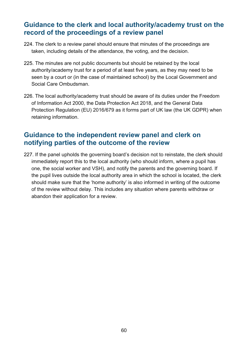## **Guidance to the clerk and local authority/academy trust on the record of the proceedings of a review panel**

- 224. The clerk to a review panel should ensure that minutes of the proceedings are taken, including details of the attendance, the voting, and the decision.
- 225. The minutes are not public documents but should be retained by the local authority/academy trust for a period of at least five years, as they may need to be seen by a court or (in the case of maintained school) by the Local Government and Social Care Ombudsman.
- 226. The local authority/academy trust should be aware of its duties under the Freedom of Information Act 2000, the Data Protection Act 2018, and the General Data Protection Regulation (EU) 2016/679 as it forms part of UK law (the UK GDPR) when retaining information.

## **Guidance to the independent review panel and clerk on notifying parties of the outcome of the review**

227. If the panel upholds the governing board's decision not to reinstate, the clerk should immediately report this to the local authority (who should inform, where a pupil has one, the social worker and VSH), and notify the parents and the governing board. If the pupil lives outside the local authority area in which the school is located, the clerk should make sure that the 'home authority' is also informed in writing of the outcome of the review without delay. This includes any situation where parents withdraw or abandon their application for a review.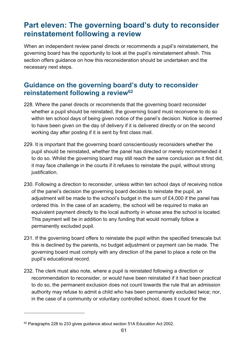# <span id="page-60-0"></span>**Part eleven: The governing board's duty to reconsider reinstatement following a review**

When an independent review panel directs or recommends a pupil's reinstatement, the governing board has the opportunity to look at the pupil's reinstatement afresh. This section offers guidance on how this reconsideration should be undertaken and the necessary next steps.

## **Guidance on the governing board's duty to reconsider reinstatement following a review<sup>62</sup>**

- 228. Where the panel directs or recommends that the governing board reconsider whether a pupil should be reinstated, the governing board must reconvene to do so within ten school days of being given notice of the panel's decision. Notice is deemed to have been given on the day of delivery if it is delivered directly or on the second working day after posting if it is sent by first class mail.
- 229. It is important that the governing board conscientiously reconsiders whether the pupil should be reinstated, whether the panel has directed or merely recommended it to do so. Whilst the governing board may still reach the same conclusion as it first did, it may face challenge in the courts if it refuses to reinstate the pupil, without strong justification.
- 230. Following a direction to reconsider, unless within ten school days of receiving notice of the panel's decision the governing board decides to reinstate the pupil, an adjustment will be made to the school's budget in the sum of £4,000 if the panel has ordered this. In the case of an academy, the school will be required to make an equivalent payment directly to the local authority in whose area the school is located. This payment will be in addition to any funding that would normally follow a permanently excluded pupil.
- 231. If the governing board offers to reinstate the pupil within the specified timescale but this is declined by the parents, no budget adjustment or payment can be made. The governing board must comply with any direction of the panel to place a note on the pupil's educational record.
- 232. The clerk must also note, where a pupil is reinstated following a direction or recommendation to reconsider, or would have been reinstated if it had been practical to do so, the permanent exclusion does not count towards the rule that an admission authority may refuse to admit a child who has been permanently excluded twice; nor, in the case of a community or voluntary controlled school, does it count for the

<sup>&</sup>lt;sup>62</sup> Paragraphs 228 to 233 gives guidance about section 51A Education Act 2002.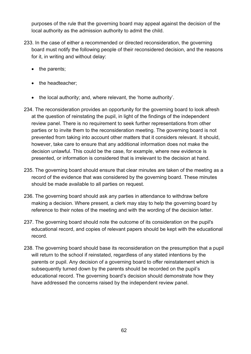purposes of the rule that the governing board may appeal against the decision of the local authority as the admission authority to admit the child.

- 233. In the case of either a recommended or directed reconsideration, the governing board must notify the following people of their reconsidered decision, and the reasons for it, in writing and without delay:
	- the parents;
	- the headteacher;
	- the local authority; and, where relevant, the 'home authority'.
- 234. The reconsideration provides an opportunity for the governing board to look afresh at the question of reinstating the pupil, in light of the findings of the independent review panel. There is no requirement to seek further representations from other parties or to invite them to the reconsideration meeting. The governing board is not prevented from taking into account other matters that it considers relevant. It should, however, take care to ensure that any additional information does not make the decision unlawful. This could be the case, for example, where new evidence is presented, or information is considered that is irrelevant to the decision at hand.
- 235. The governing board should ensure that clear minutes are taken of the meeting as a record of the evidence that was considered by the governing board. These minutes should be made available to all parties on request.
- 236. The governing board should ask any parties in attendance to withdraw before making a decision. Where present, a clerk may stay to help the governing board by reference to their notes of the meeting and with the wording of the decision letter.
- 237. The governing board should note the outcome of its consideration on the pupil's educational record, and copies of relevant papers should be kept with the educational record.
- 238. The governing board should base its reconsideration on the presumption that a pupil will return to the school if reinstated, regardless of any stated intentions by the parents or pupil. Any decision of a governing board to offer reinstatement which is subsequently turned down by the parents should be recorded on the pupil's educational record. The governing board's decision should demonstrate how they have addressed the concerns raised by the independent review panel.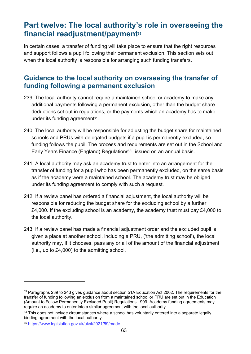# <span id="page-62-0"></span>**Part twelve: The local authority's role in overseeing the financial readjustment/payment<sup>63</sup>**

In certain cases, a transfer of funding will take place to ensure that the right resources and support follows a pupil following their permanent exclusion. This section sets out when the local authority is responsible for arranging such funding transfers.

## **Guidance to the local authority on overseeing the transfer of funding following a permanent exclusion**

- 239. The local authority cannot require a maintained school or academy to make any additional payments following a permanent exclusion, other than the budget share deductions set out in regulations, or the payments which an academy has to make under its funding agreement<sup>64</sup>.
- 240. The local authority will be responsible for adjusting the budget share for maintained schools and PRUs with delegated budgets if a pupil is permanently excluded, so funding follows the pupil. The process and requirements are set out in the School and Early Years Finance (England) Regulations<sup>65</sup>, issued on an annual basis.
- 241. A local authority may ask an academy trust to enter into an arrangement for the transfer of funding for a pupil who has been permanently excluded, on the same basis as if the academy were a maintained school. The academy trust may be obliged under its funding agreement to comply with such a request.
- 242. If a review panel has ordered a financial adjustment, the local authority will be responsible for reducing the budget share for the excluding school by a further £4,000. If the excluding school is an academy, the academy trust must pay £4,000 to the local authority.
- 243. If a review panel has made a financial adjustment order and the excluded pupil is given a place at another school, including a PRU, ('the admitting school'), the local authority may, if it chooses, pass any or all of the amount of the financial adjustment (i.e., up to £4,000) to the admitting school.

 $63$  Paragraphs 239 to 243 gives guidance about section 51A Education Act 2002. The requirements for the transfer of funding following an exclusion from a maintained school or PRU are set out in the Education (Amount to Follow Permanently Excluded Pupil) Regulations 1999. Academy funding agreements may require an academy to enter into a similar agreement with the local authority.

 $64$  This does not include circumstances where a school has voluntarily entered into a separate legally binding agreement with the local authority.

<sup>65</sup> <https://www.legislation.gov.uk/uksi/2021/59/made>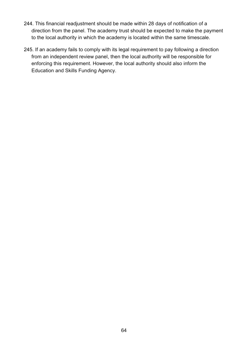- 244. This financial readjustment should be made within 28 days of notification of a direction from the panel. The academy trust should be expected to make the payment to the local authority in which the academy is located within the same timescale.
- 245. If an academy fails to comply with its legal requirement to pay following a direction from an independent review panel, then the local authority will be responsible for enforcing this requirement. However, the local authority should also inform the Education and Skills Funding Agency.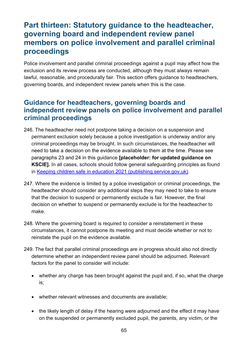# <span id="page-64-0"></span>**Part thirteen: Statutory guidance to the headteacher, governing board and independent review panel members on police involvement and parallel criminal proceedings**

Police involvement and parallel criminal proceedings against a pupil may affect how the exclusion and its review process are conducted, although they must always remain lawful, reasonable, and procedurally fair. This section offers guidance to headteachers, governing boards, and independent review panels when this is the case.

## **Guidance for headteachers, governing boards and independent review panels on police involvement and parallel criminal proceedings**

- 246. The headteacher need not postpone taking a decision on a suspension and permanent exclusion solely because a police investigation is underway and/or any criminal proceedings may be brought. In such circumstances, the headteacher will need to take a decision on the evidence available to them at the time. Please see paragraphs 23 and 24 in this guidance **[placeholder: for updated guidance on KSCIE].** In all cases, schools should follow general safeguarding principles as found in [Keeping children safe in education 2021 \(publishing.service.gov.uk\).](https://assets.publishing.service.gov.uk/government/uploads/system/uploads/attachment_data/file/1021914/KCSIE_2021_September_guidance.pdf)
- 247. Where the evidence is limited by a police investigation or criminal proceedings, the headteacher should consider any additional steps they may need to take to ensure that the decision to suspend or permanently exclude is fair. However, the final decision on whether to suspend or permanently exclude is for the headteacher to make.
- 248. Where the governing board is required to consider a reinstatement in these circumstances, it cannot postpone its meeting and must decide whether or not to reinstate the pupil on the evidence available.
- 249. The fact that parallel criminal proceedings are in progress should also not directly determine whether an independent review panel should be adjourned. Relevant factors for the panel to consider will include:
	- whether any charge has been brought against the pupil and, if so, what the charge is;
	- whether relevant witnesses and documents are available;
	- the likely length of delay if the hearing were adiourned and the effect it may have on the suspended or permanently excluded pupil, the parents, any victim, or the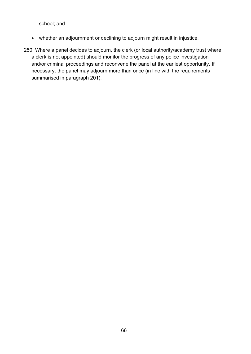school; and

- whether an adjournment or declining to adjourn might result in injustice.
- 250. Where a panel decides to adjourn, the clerk (or local authority/academy trust where a clerk is not appointed) should monitor the progress of any police investigation and/or criminal proceedings and reconvene the panel at the earliest opportunity. If necessary, the panel may adjourn more than once (in line with the requirements summarised in paragraph 201).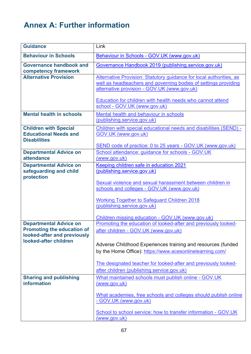# <span id="page-66-0"></span>**Annex A: Further information**

| <b>Guidance</b>                                                                                                            | Link                                                                                                                                                                                                                                                                                                                                               |
|----------------------------------------------------------------------------------------------------------------------------|----------------------------------------------------------------------------------------------------------------------------------------------------------------------------------------------------------------------------------------------------------------------------------------------------------------------------------------------------|
| <b>Behaviour in Schools</b>                                                                                                | Behaviour in Schools - GOV.UK (www.gov.uk)                                                                                                                                                                                                                                                                                                         |
| <b>Governance handbook and</b><br>competency framework                                                                     | Governance Handbook 2019 (publishing.service.gov.uk)                                                                                                                                                                                                                                                                                               |
| <b>Alternative Provision</b>                                                                                               | Alternative Provision: Statutory guidance for local authorities, as<br>well as headteachers and governing bodies of settings providing<br>alternative provision - GOV.UK (www.gov.uk)<br>Education for children with health needs who cannot attend                                                                                                |
|                                                                                                                            | school - GOV.UK (www.gov.uk)                                                                                                                                                                                                                                                                                                                       |
| <b>Mental health in schools</b>                                                                                            | Mental health and behaviour in schools<br>(publishing.service.gov.uk)                                                                                                                                                                                                                                                                              |
| <b>Children with Special</b><br><b>Educational Needs and</b><br><b>Disabilities</b>                                        | Children with special educational needs and disabilities (SEND) -<br>GOV.UK (www.gov.uk)<br>SEND code of practice: 0 to 25 years - GOV.UK (www.gov.uk)                                                                                                                                                                                             |
| <b>Departmental Advice on</b><br>attendance                                                                                | School attendance: guidance for schools - GOV.UK<br>(www.gov.uk)                                                                                                                                                                                                                                                                                   |
| <b>Departmental Advice on</b><br>safeguarding and child<br>protection                                                      | Keeping children safe in education 2021<br>(publishing.service.gov.uk)<br>Sexual violence and sexual harassment between children in<br>schools and colleges - GOV.UK (www.gov.uk)<br><b>Working Together to Safeguard Children 2018</b><br>(publishing.service.gov.uk)<br>Children missing education - GOV.UK (www.gov.uk)                         |
| <b>Departmental Advice on</b><br><b>Promoting the education of</b><br>looked-after and previously<br>looked-after children | Promoting the education of looked-after and previously looked-<br>after children - GOV.UK (www.gov.uk)<br>Adverse Childhood Experiences training and resources (funded<br>by the Home Office): https://www.acesonlinelearning.com/<br>The designated teacher for looked-after and previously looked-<br>after children (publishing.service.gov.uk) |
| <b>Sharing and publishing</b><br>information                                                                               | What maintained schools must publish online - GOV.UK<br>(www.gov.uk)<br>What academies, free schools and colleges should publish online<br>- GOV.UK (www.gov.uk)<br>School to school service: how to transfer information - GOV.UK                                                                                                                 |
|                                                                                                                            | (www.gov.uk)                                                                                                                                                                                                                                                                                                                                       |